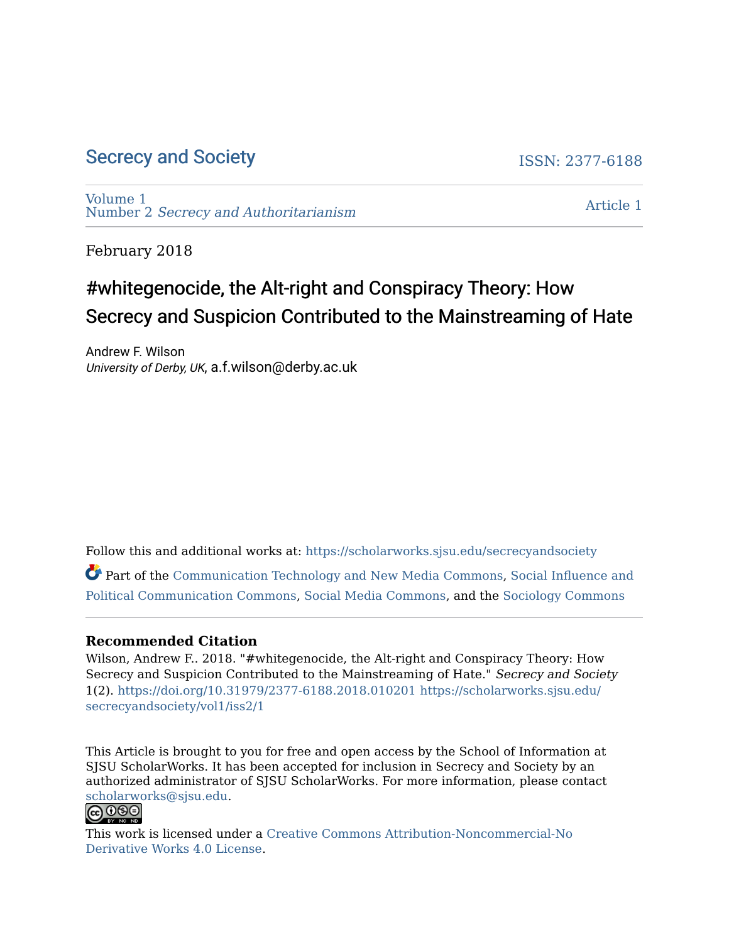# [Secrecy and Society](https://scholarworks.sjsu.edu/secrecyandsociety) **ISSN: 2377-6188**

[Volume 1](https://scholarworks.sjsu.edu/secrecyandsociety/vol1)  Number 2 [Secrecy and Authoritarianism](https://scholarworks.sjsu.edu/secrecyandsociety/vol1/iss2) 

[Article 1](https://scholarworks.sjsu.edu/secrecyandsociety/vol1/iss2/1) 

February 2018

# #whitegenocide, the Alt-right and Conspiracy Theory: How Secrecy and Suspicion Contributed to the Mainstreaming of Hate

Andrew F. Wilson University of Derby, UK, a.f.wilson@derby.ac.uk

Follow this and additional works at: [https://scholarworks.sjsu.edu/secrecyandsociety](https://scholarworks.sjsu.edu/secrecyandsociety?utm_source=scholarworks.sjsu.edu%2Fsecrecyandsociety%2Fvol1%2Fiss2%2F1&utm_medium=PDF&utm_campaign=PDFCoverPages) 

Part of the [Communication Technology and New Media Commons,](http://network.bepress.com/hgg/discipline/327?utm_source=scholarworks.sjsu.edu%2Fsecrecyandsociety%2Fvol1%2Fiss2%2F1&utm_medium=PDF&utm_campaign=PDFCoverPages) [Social Influence and](http://network.bepress.com/hgg/discipline/337?utm_source=scholarworks.sjsu.edu%2Fsecrecyandsociety%2Fvol1%2Fiss2%2F1&utm_medium=PDF&utm_campaign=PDFCoverPages) [Political Communication Commons](http://network.bepress.com/hgg/discipline/337?utm_source=scholarworks.sjsu.edu%2Fsecrecyandsociety%2Fvol1%2Fiss2%2F1&utm_medium=PDF&utm_campaign=PDFCoverPages), [Social Media Commons,](http://network.bepress.com/hgg/discipline/1249?utm_source=scholarworks.sjsu.edu%2Fsecrecyandsociety%2Fvol1%2Fiss2%2F1&utm_medium=PDF&utm_campaign=PDFCoverPages) and the [Sociology Commons](http://network.bepress.com/hgg/discipline/416?utm_source=scholarworks.sjsu.edu%2Fsecrecyandsociety%2Fvol1%2Fiss2%2F1&utm_medium=PDF&utm_campaign=PDFCoverPages) 

#### **Recommended Citation**

Wilson, Andrew F.. 2018. "#whitegenocide, the Alt-right and Conspiracy Theory: How Secrecy and Suspicion Contributed to the Mainstreaming of Hate." Secrecy and Society 1(2). <https://doi.org/10.31979/2377-6188.2018.010201> [https://scholarworks.sjsu.edu/](https://scholarworks.sjsu.edu/secrecyandsociety/vol1/iss2/1?utm_source=scholarworks.sjsu.edu%2Fsecrecyandsociety%2Fvol1%2Fiss2%2F1&utm_medium=PDF&utm_campaign=PDFCoverPages) [secrecyandsociety/vol1/iss2/1](https://scholarworks.sjsu.edu/secrecyandsociety/vol1/iss2/1?utm_source=scholarworks.sjsu.edu%2Fsecrecyandsociety%2Fvol1%2Fiss2%2F1&utm_medium=PDF&utm_campaign=PDFCoverPages)

This Article is brought to you for free and open access by the School of Information at SJSU ScholarWorks. It has been accepted for inclusion in Secrecy and Society by an authorized administrator of SJSU ScholarWorks. For more information, please contact [scholarworks@sjsu.edu](mailto:scholarworks@sjsu.edu).<br>@0\$0



This work is licensed under a [Creative Commons Attribution-Noncommercial-No](https://creativecommons.org/licenses/by-nc-nd/4.0/) [Derivative Works 4.0 License](https://creativecommons.org/licenses/by-nc-nd/4.0/).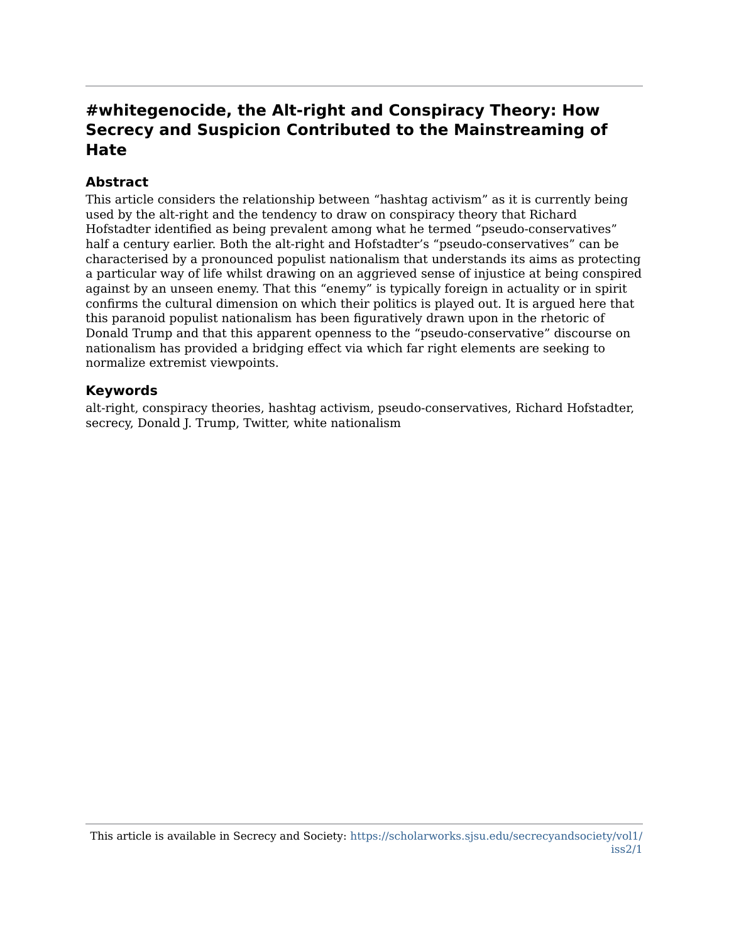# **#whitegenocide, the Alt-right and Conspiracy Theory: How Secrecy and Suspicion Contributed to the Mainstreaming of Hate**

#### **Abstract**

This article considers the relationship between "hashtag activism" as it is currently being used by the alt-right and the tendency to draw on conspiracy theory that Richard Hofstadter identified as being prevalent among what he termed "pseudo-conservatives" half a century earlier. Both the alt-right and Hofstadter's "pseudo-conservatives" can be characterised by a pronounced populist nationalism that understands its aims as protecting a particular way of life whilst drawing on an aggrieved sense of injustice at being conspired against by an unseen enemy. That this "enemy" is typically foreign in actuality or in spirit confirms the cultural dimension on which their politics is played out. It is argued here that this paranoid populist nationalism has been figuratively drawn upon in the rhetoric of Donald Trump and that this apparent openness to the "pseudo-conservative" discourse on nationalism has provided a bridging effect via which far right elements are seeking to normalize extremist viewpoints.

#### **Keywords**

alt-right, conspiracy theories, hashtag activism, pseudo-conservatives, Richard Hofstadter, secrecy, Donald J. Trump, Twitter, white nationalism

This article is available in Secrecy and Society: [https://scholarworks.sjsu.edu/secrecyandsociety/vol1/](https://scholarworks.sjsu.edu/secrecyandsociety/vol1/iss2/1) [iss2/1](https://scholarworks.sjsu.edu/secrecyandsociety/vol1/iss2/1)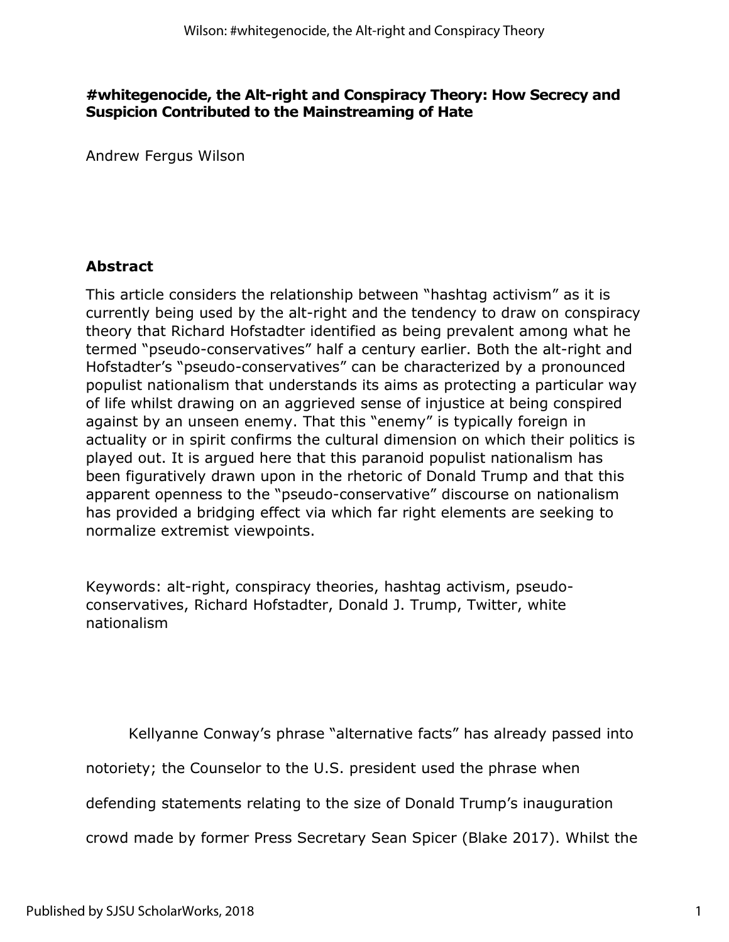## **#whitegenocide, the Alt-right and Conspiracy Theory: How Secrecy and Suspicion Contributed to the Mainstreaming of Hate**

Andrew Fergus Wilson

# **Abstract**

This article considers the relationship between "hashtag activism" as it is currently being used by the alt-right and the tendency to draw on conspiracy theory that Richard Hofstadter identified as being prevalent among what he termed "pseudo-conservatives" half a century earlier. Both the alt-right and Hofstadter's "pseudo-conservatives" can be characterized by a pronounced populist nationalism that understands its aims as protecting a particular way of life whilst drawing on an aggrieved sense of injustice at being conspired against by an unseen enemy. That this "enemy" is typically foreign in actuality or in spirit confirms the cultural dimension on which their politics is played out. It is argued here that this paranoid populist nationalism has been figuratively drawn upon in the rhetoric of Donald Trump and that this apparent openness to the "pseudo-conservative" discourse on nationalism has provided a bridging effect via which far right elements are seeking to normalize extremist viewpoints.

Keywords: alt-right, conspiracy theories, hashtag activism, pseudoconservatives, Richard Hofstadter, Donald J. Trump, Twitter, white nationalism

Kellyanne Conway's phrase "alternative facts" has already passed into

notoriety; the Counselor to the U.S. president used the phrase when

defending statements relating to the size of Donald Trump's inauguration

crowd made by former Press Secretary Sean Spicer (Blake 2017). Whilst the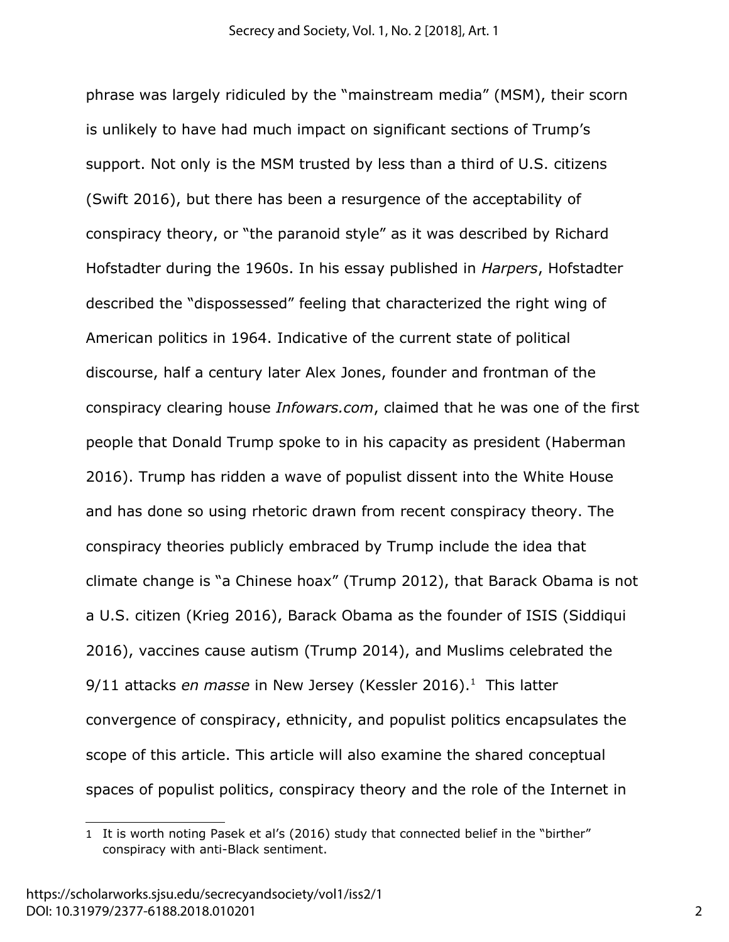phrase was largely ridiculed by the "mainstream media" (MSM), their scorn is unlikely to have had much impact on significant sections of Trump's support. Not only is the MSM trusted by less than a third of U.S. citizens (Swift 2016), but there has been a resurgence of the acceptability of conspiracy theory, or "the paranoid style" as it was described by Richard Hofstadter during the 1960s. In his essay published in *Harpers*, Hofstadter described the "dispossessed" feeling that characterized the right wing of American politics in 1964. Indicative of the current state of political discourse, half a century later Alex Jones, founder and frontman of the conspiracy clearing house *Infowars.com*, claimed that he was one of the first people that Donald Trump spoke to in his capacity as president (Haberman 2016). Trump has ridden a wave of populist dissent into the White House and has done so using rhetoric drawn from recent conspiracy theory. The conspiracy theories publicly embraced by Trump include the idea that climate change is "a Chinese hoax" (Trump 2012), that Barack Obama is not a U.S. citizen (Krieg 2016), Barack Obama as the founder of ISIS (Siddiqui 2016), vaccines cause autism (Trump 2014), and Muslims celebrated the 9/[1](#page-3-0)1 attacks *en masse* in New Jersey (Kessler 2016).<sup>1</sup> This latter convergence of conspiracy, ethnicity, and populist politics encapsulates the scope of this article. This article will also examine the shared conceptual spaces of populist politics, conspiracy theory and the role of the Internet in

<span id="page-3-0"></span><sup>1</sup> It is worth noting Pasek et al's (2016) study that connected belief in the "birther" conspiracy with anti-Black sentiment.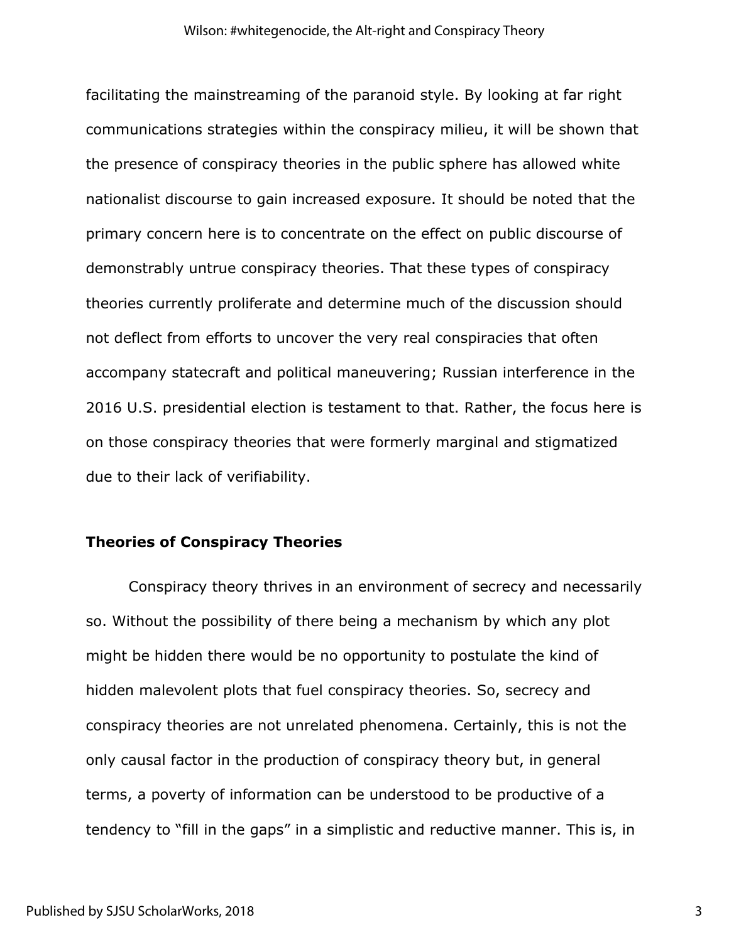facilitating the mainstreaming of the paranoid style. By looking at far right communications strategies within the conspiracy milieu, it will be shown that the presence of conspiracy theories in the public sphere has allowed white nationalist discourse to gain increased exposure. It should be noted that the primary concern here is to concentrate on the effect on public discourse of demonstrably untrue conspiracy theories. That these types of conspiracy theories currently proliferate and determine much of the discussion should not deflect from efforts to uncover the very real conspiracies that often accompany statecraft and political maneuvering; Russian interference in the 2016 U.S. presidential election is testament to that. Rather, the focus here is on those conspiracy theories that were formerly marginal and stigmatized due to their lack of verifiability.

#### **Theories of Conspiracy Theories**

Conspiracy theory thrives in an environment of secrecy and necessarily so. Without the possibility of there being a mechanism by which any plot might be hidden there would be no opportunity to postulate the kind of hidden malevolent plots that fuel conspiracy theories. So, secrecy and conspiracy theories are not unrelated phenomena. Certainly, this is not the only causal factor in the production of conspiracy theory but, in general terms, a poverty of information can be understood to be productive of a tendency to "fill in the gaps" in a simplistic and reductive manner. This is, in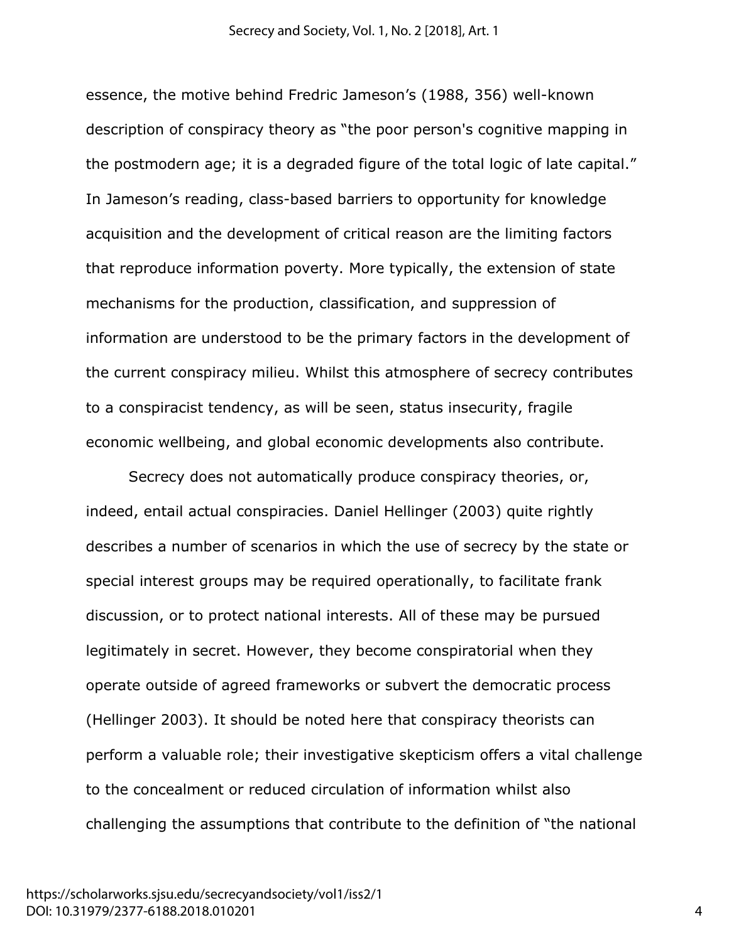essence, the motive behind Fredric Jameson's (1988, 356) well-known description of conspiracy theory as "the poor person's cognitive mapping in the postmodern age; it is a degraded figure of the total logic of late capital." In Jameson's reading, class-based barriers to opportunity for knowledge acquisition and the development of critical reason are the limiting factors that reproduce information poverty. More typically, the extension of state mechanisms for the production, classification, and suppression of information are understood to be the primary factors in the development of the current conspiracy milieu. Whilst this atmosphere of secrecy contributes to a conspiracist tendency, as will be seen, status insecurity, fragile economic wellbeing, and global economic developments also contribute.

Secrecy does not automatically produce conspiracy theories, or, indeed, entail actual conspiracies. Daniel Hellinger (2003) quite rightly describes a number of scenarios in which the use of secrecy by the state or special interest groups may be required operationally, to facilitate frank discussion, or to protect national interests. All of these may be pursued legitimately in secret. However, they become conspiratorial when they operate outside of agreed frameworks or subvert the democratic process (Hellinger 2003). It should be noted here that conspiracy theorists can perform a valuable role; their investigative skepticism offers a vital challenge to the concealment or reduced circulation of information whilst also challenging the assumptions that contribute to the definition of "the national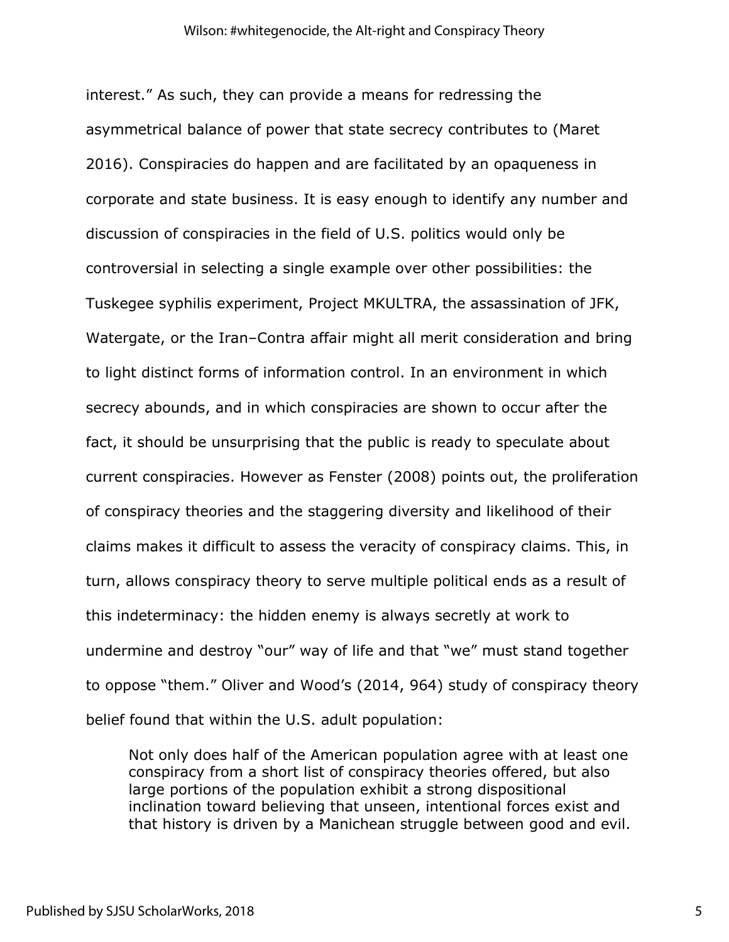interest." As such, they can provide a means for redressing the asymmetrical balance of power that state secrecy contributes to (Maret 2016). Conspiracies do happen and are facilitated by an opaqueness in corporate and state business. It is easy enough to identify any number and discussion of conspiracies in the field of U.S. politics would only be controversial in selecting a single example over other possibilities: the Tuskegee syphilis experiment, Project MKULTRA, the assassination of JFK, Watergate, or the Iran–Contra affair might all merit consideration and bring to light distinct forms of information control. In an environment in which secrecy abounds, and in which conspiracies are shown to occur after the fact, it should be unsurprising that the public is ready to speculate about current conspiracies. However as Fenster (2008) points out, the proliferation of conspiracy theories and the staggering diversity and likelihood of their claims makes it difficult to assess the veracity of conspiracy claims. This, in turn, allows conspiracy theory to serve multiple political ends as a result of this indeterminacy: the hidden enemy is always secretly at work to undermine and destroy "our" way of life and that "we" must stand together to oppose "them." Oliver and Wood's (2014, 964) study of conspiracy theory belief found that within the U.S. adult population:

Not only does half of the American population agree with at least one conspiracy from a short list of conspiracy theories offered, but also large portions of the population exhibit a strong dispositional inclination toward believing that unseen, intentional forces exist and that history is driven by a Manichean struggle between good and evil.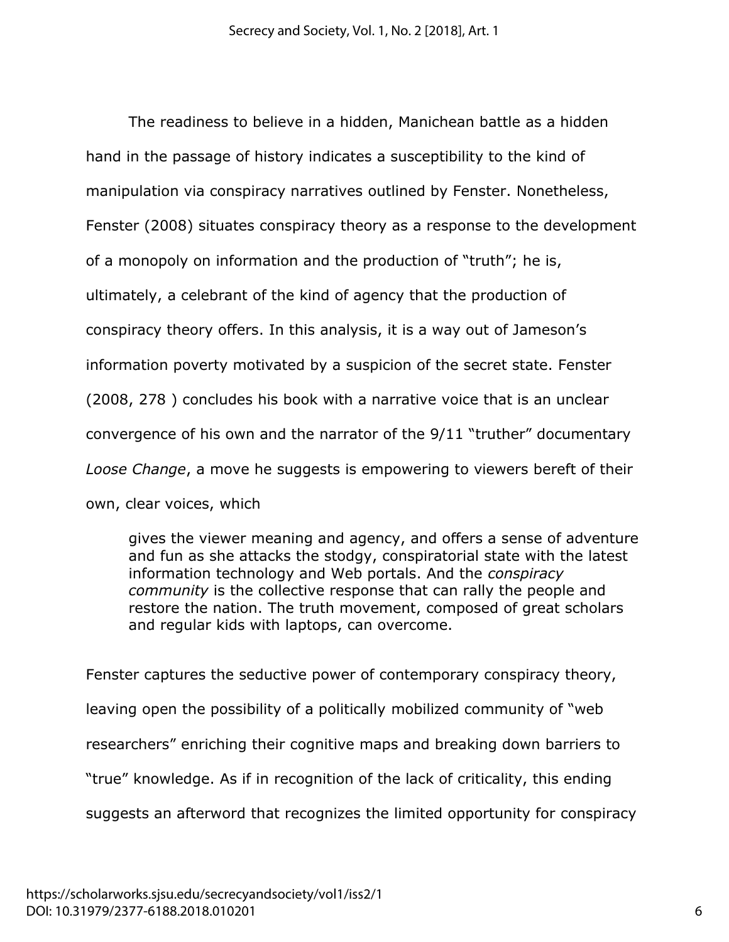The readiness to believe in a hidden, Manichean battle as a hidden hand in the passage of history indicates a susceptibility to the kind of manipulation via conspiracy narratives outlined by Fenster. Nonetheless, Fenster (2008) situates conspiracy theory as a response to the development of a monopoly on information and the production of "truth"; he is, ultimately, a celebrant of the kind of agency that the production of conspiracy theory offers. In this analysis, it is a way out of Jameson's information poverty motivated by a suspicion of the secret state. Fenster (2008, 278 ) concludes his book with a narrative voice that is an unclear convergence of his own and the narrator of the 9/11 "truther" documentary *Loose Change*, a move he suggests is empowering to viewers bereft of their own, clear voices, which

gives the viewer meaning and agency, and offers a sense of adventure and fun as she attacks the stodgy, conspiratorial state with the latest information technology and Web portals. And the *conspiracy community* is the collective response that can rally the people and restore the nation. The truth movement, composed of great scholars and regular kids with laptops, can overcome.

Fenster captures the seductive power of contemporary conspiracy theory, leaving open the possibility of a politically mobilized community of "web researchers" enriching their cognitive maps and breaking down barriers to "true" knowledge. As if in recognition of the lack of criticality, this ending suggests an afterword that recognizes the limited opportunity for conspiracy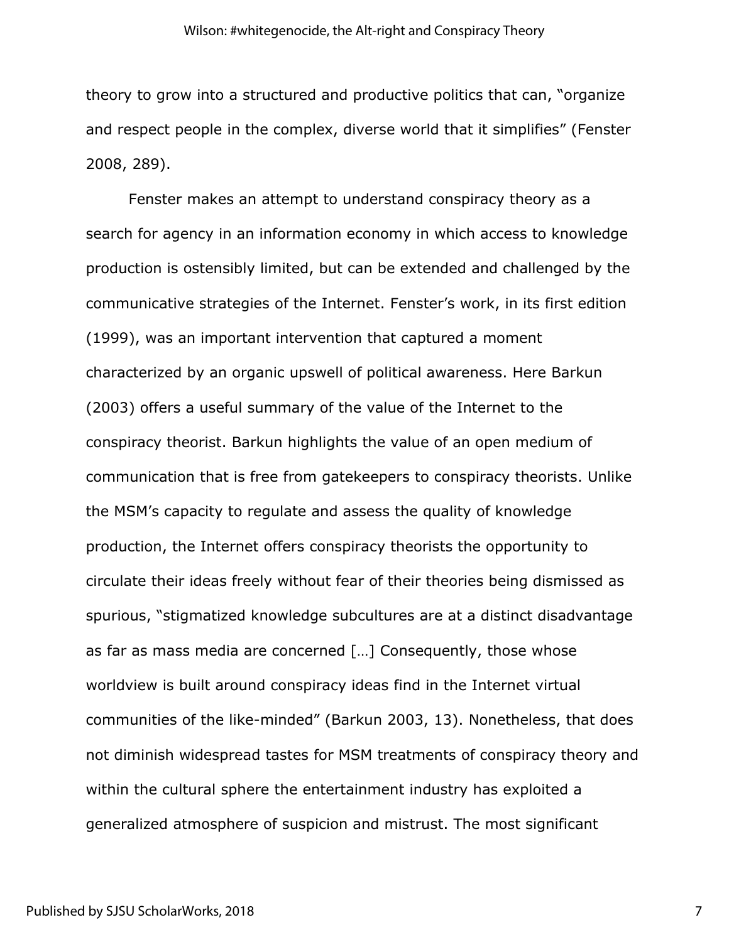theory to grow into a structured and productive politics that can, "organize and respect people in the complex, diverse world that it simplifies" (Fenster 2008, 289).

Fenster makes an attempt to understand conspiracy theory as a search for agency in an information economy in which access to knowledge production is ostensibly limited, but can be extended and challenged by the communicative strategies of the Internet. Fenster's work, in its first edition (1999), was an important intervention that captured a moment characterized by an organic upswell of political awareness. Here Barkun (2003) offers a useful summary of the value of the Internet to the conspiracy theorist. Barkun highlights the value of an open medium of communication that is free from gatekeepers to conspiracy theorists. Unlike the MSM's capacity to regulate and assess the quality of knowledge production, the Internet offers conspiracy theorists the opportunity to circulate their ideas freely without fear of their theories being dismissed as spurious, "stigmatized knowledge subcultures are at a distinct disadvantage as far as mass media are concerned […] Consequently, those whose worldview is built around conspiracy ideas find in the Internet virtual communities of the like-minded" (Barkun 2003, 13). Nonetheless, that does not diminish widespread tastes for MSM treatments of conspiracy theory and within the cultural sphere the entertainment industry has exploited a generalized atmosphere of suspicion and mistrust. The most significant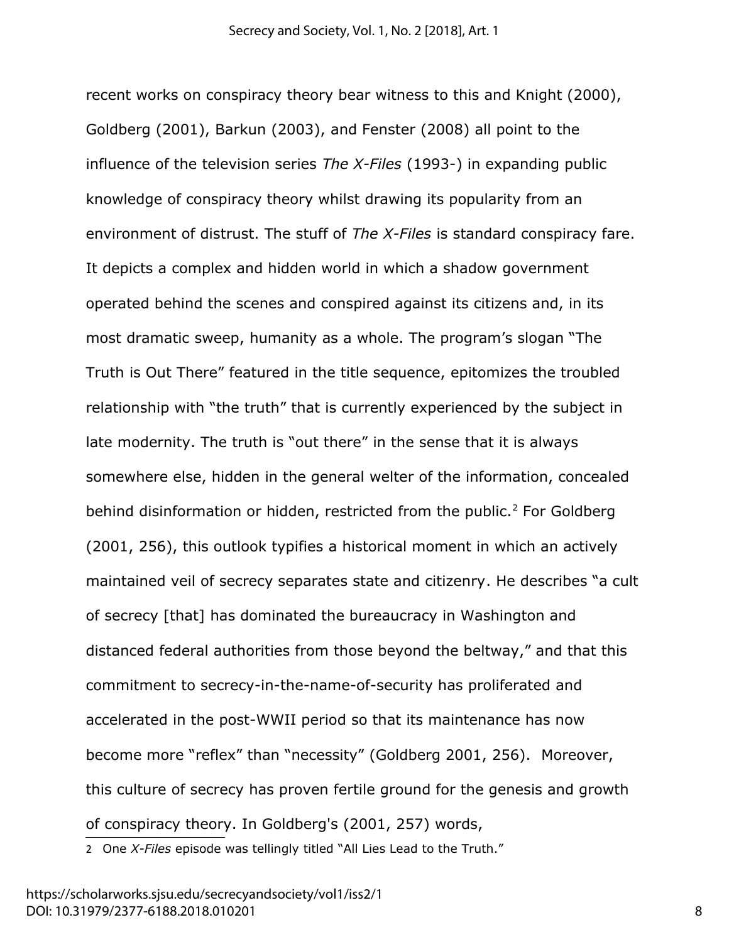recent works on conspiracy theory bear witness to this and Knight (2000), Goldberg (2001), Barkun (2003), and Fenster (2008) all point to the influence of the television series *The X-Files* (1993-) in expanding public knowledge of conspiracy theory whilst drawing its popularity from an environment of distrust. The stuff of *The X-Files* is standard conspiracy fare. It depicts a complex and hidden world in which a shadow government operated behind the scenes and conspired against its citizens and, in its most dramatic sweep, humanity as a whole. The program's slogan "The Truth is Out There" featured in the title sequence, epitomizes the troubled relationship with "the truth" that is currently experienced by the subject in late modernity. The truth is "out there" in the sense that it is always somewhere else, hidden in the general welter of the information, concealed behind disinformation or hidden, restricted from the public. $2$  For Goldberg (2001, 256), this outlook typifies a historical moment in which an actively maintained veil of secrecy separates state and citizenry. He describes "a cult of secrecy [that] has dominated the bureaucracy in Washington and distanced federal authorities from those beyond the beltway," and that this commitment to secrecy-in-the-name-of-security has proliferated and accelerated in the post-WWII period so that its maintenance has now become more "reflex" than "necessity" (Goldberg 2001, 256). Moreover, this culture of secrecy has proven fertile ground for the genesis and growth of conspiracy theory. In Goldberg's (2001, 257) words,

<span id="page-9-0"></span>2 One *X-Files* episode was tellingly titled "All Lies Lead to the Truth."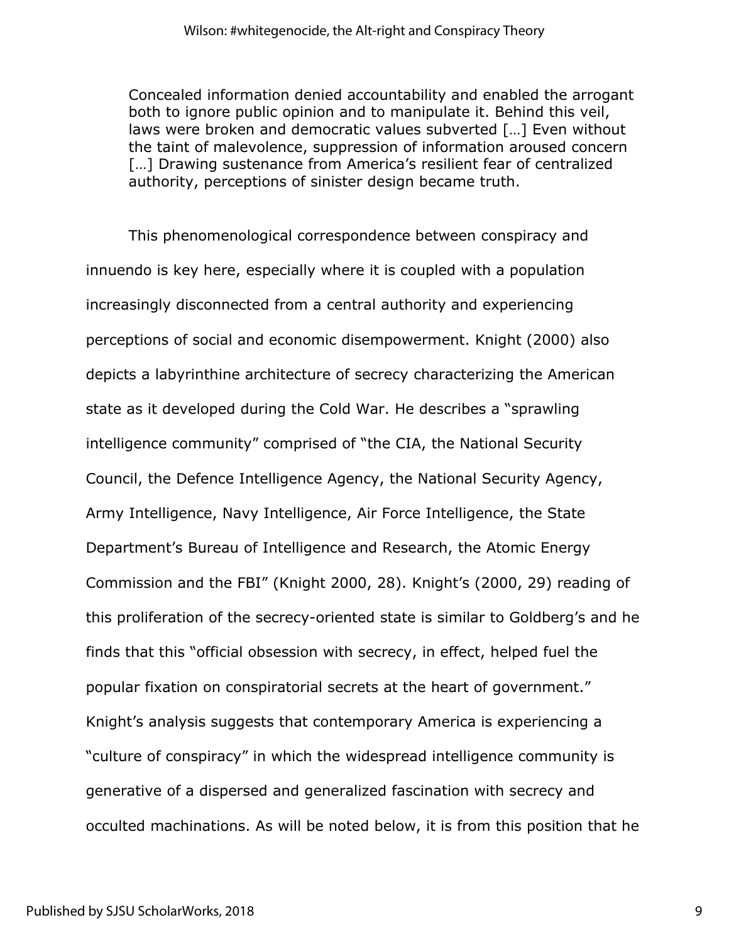Concealed information denied accountability and enabled the arrogant both to ignore public opinion and to manipulate it. Behind this veil, laws were broken and democratic values subverted […] Even without the taint of malevolence, suppression of information aroused concern [...] Drawing sustenance from America's resilient fear of centralized authority, perceptions of sinister design became truth.

This phenomenological correspondence between conspiracy and innuendo is key here, especially where it is coupled with a population increasingly disconnected from a central authority and experiencing perceptions of social and economic disempowerment. Knight (2000) also depicts a labyrinthine architecture of secrecy characterizing the American state as it developed during the Cold War. He describes a "sprawling intelligence community" comprised of "the CIA, the National Security Council, the Defence Intelligence Agency, the National Security Agency, Army Intelligence, Navy Intelligence, Air Force Intelligence, the State Department's Bureau of Intelligence and Research, the Atomic Energy Commission and the FBI" (Knight 2000, 28). Knight's (2000, 29) reading of this proliferation of the secrecy-oriented state is similar to Goldberg's and he finds that this "official obsession with secrecy, in effect, helped fuel the popular fixation on conspiratorial secrets at the heart of government." Knight's analysis suggests that contemporary America is experiencing a "culture of conspiracy" in which the widespread intelligence community is generative of a dispersed and generalized fascination with secrecy and occulted machinations. As will be noted below, it is from this position that he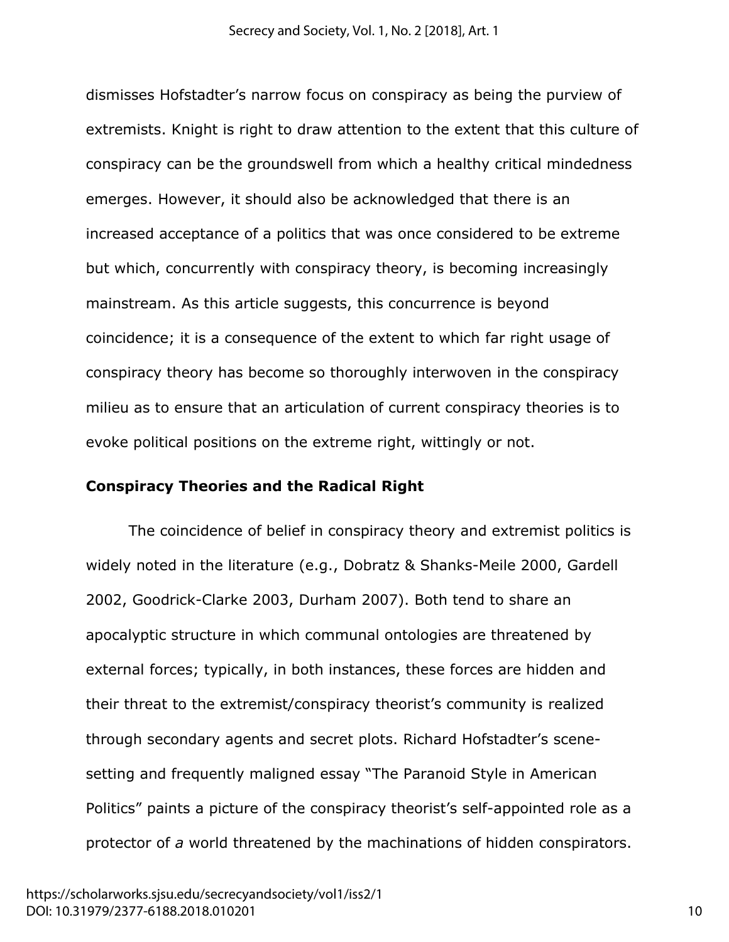dismisses Hofstadter's narrow focus on conspiracy as being the purview of extremists. Knight is right to draw attention to the extent that this culture of conspiracy can be the groundswell from which a healthy critical mindedness emerges. However, it should also be acknowledged that there is an increased acceptance of a politics that was once considered to be extreme but which, concurrently with conspiracy theory, is becoming increasingly mainstream. As this article suggests, this concurrence is beyond coincidence; it is a consequence of the extent to which far right usage of conspiracy theory has become so thoroughly interwoven in the conspiracy milieu as to ensure that an articulation of current conspiracy theories is to evoke political positions on the extreme right, wittingly or not.

#### **Conspiracy Theories and the Radical Right**

The coincidence of belief in conspiracy theory and extremist politics is widely noted in the literature (e.g., Dobratz & Shanks-Meile 2000, Gardell 2002, Goodrick-Clarke 2003, Durham 2007). Both tend to share an apocalyptic structure in which communal ontologies are threatened by external forces; typically, in both instances, these forces are hidden and their threat to the extremist/conspiracy theorist's community is realized through secondary agents and secret plots. Richard Hofstadter's scenesetting and frequently maligned essay "The Paranoid Style in American Politics" paints a picture of the conspiracy theorist's self-appointed role as a protector of *a* world threatened by the machinations of hidden conspirators.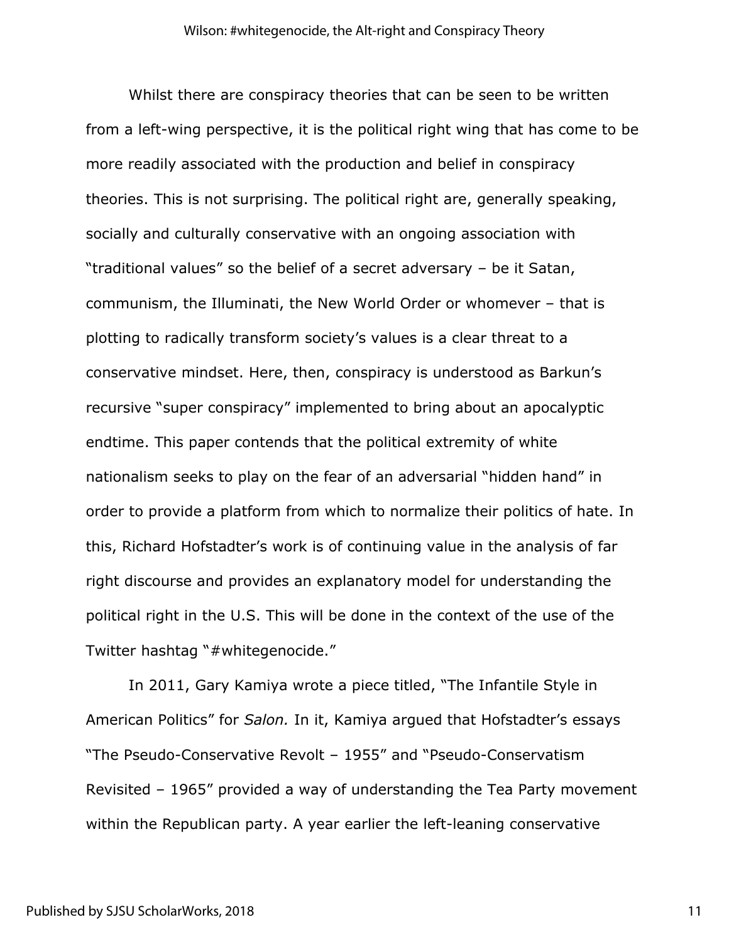Whilst there are conspiracy theories that can be seen to be written from a left-wing perspective, it is the political right wing that has come to be more readily associated with the production and belief in conspiracy theories. This is not surprising. The political right are, generally speaking, socially and culturally conservative with an ongoing association with "traditional values" so the belief of a secret adversary – be it Satan, communism, the Illuminati, the New World Order or whomever – that is plotting to radically transform society's values is a clear threat to a conservative mindset. Here, then, conspiracy is understood as Barkun's recursive "super conspiracy" implemented to bring about an apocalyptic endtime. This paper contends that the political extremity of white nationalism seeks to play on the fear of an adversarial "hidden hand" in order to provide a platform from which to normalize their politics of hate. In this, Richard Hofstadter's work is of continuing value in the analysis of far right discourse and provides an explanatory model for understanding the political right in the U.S. This will be done in the context of the use of the Twitter hashtag "#whitegenocide."

In 2011, Gary Kamiya wrote a piece titled, "The Infantile Style in American Politics" for *Salon.* In it, Kamiya argued that Hofstadter's essays "The Pseudo-Conservative Revolt – 1955" and "Pseudo-Conservatism Revisited – 1965" provided a way of understanding the Tea Party movement within the Republican party. A year earlier the left-leaning conservative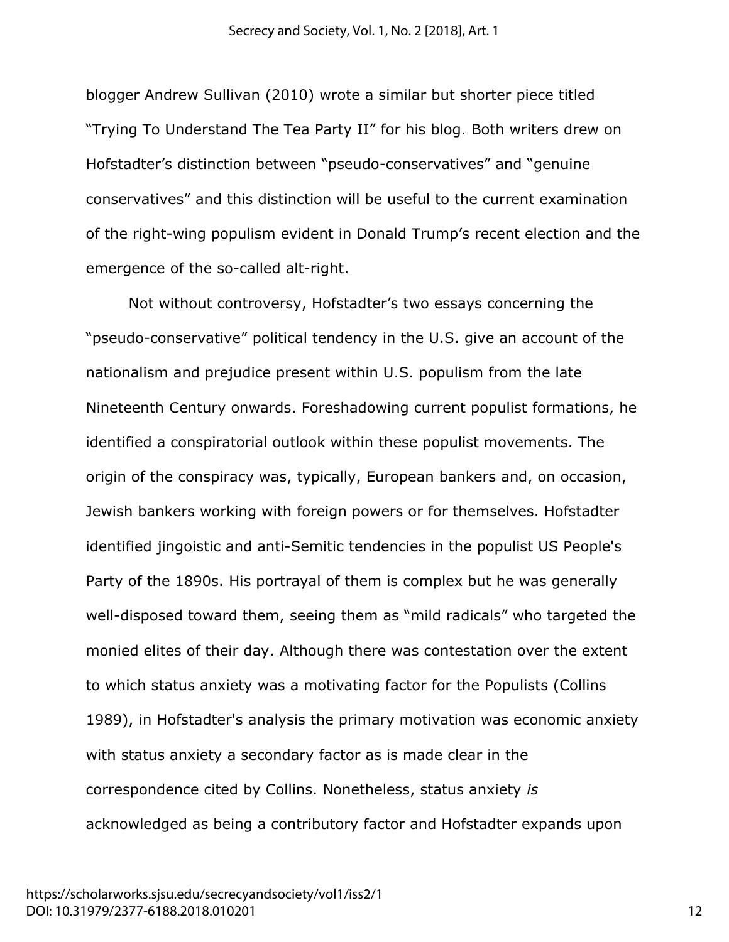blogger Andrew Sullivan (2010) wrote a similar but shorter piece titled "Trying To Understand The Tea Party II" for his blog. Both writers drew on Hofstadter's distinction between "pseudo-conservatives" and "genuine conservatives" and this distinction will be useful to the current examination of the right-wing populism evident in Donald Trump's recent election and the emergence of the so-called alt-right.

Not without controversy, Hofstadter's two essays concerning the "pseudo-conservative" political tendency in the U.S. give an account of the nationalism and prejudice present within U.S. populism from the late Nineteenth Century onwards. Foreshadowing current populist formations, he identified a conspiratorial outlook within these populist movements. The origin of the conspiracy was, typically, European bankers and, on occasion, Jewish bankers working with foreign powers or for themselves. Hofstadter identified jingoistic and anti-Semitic tendencies in the populist US People's Party of the 1890s. His portrayal of them is complex but he was generally well-disposed toward them, seeing them as "mild radicals" who targeted the monied elites of their day. Although there was contestation over the extent to which status anxiety was a motivating factor for the Populists (Collins 1989), in Hofstadter's analysis the primary motivation was economic anxiety with status anxiety a secondary factor as is made clear in the correspondence cited by Collins. Nonetheless, status anxiety *is* acknowledged as being a contributory factor and Hofstadter expands upon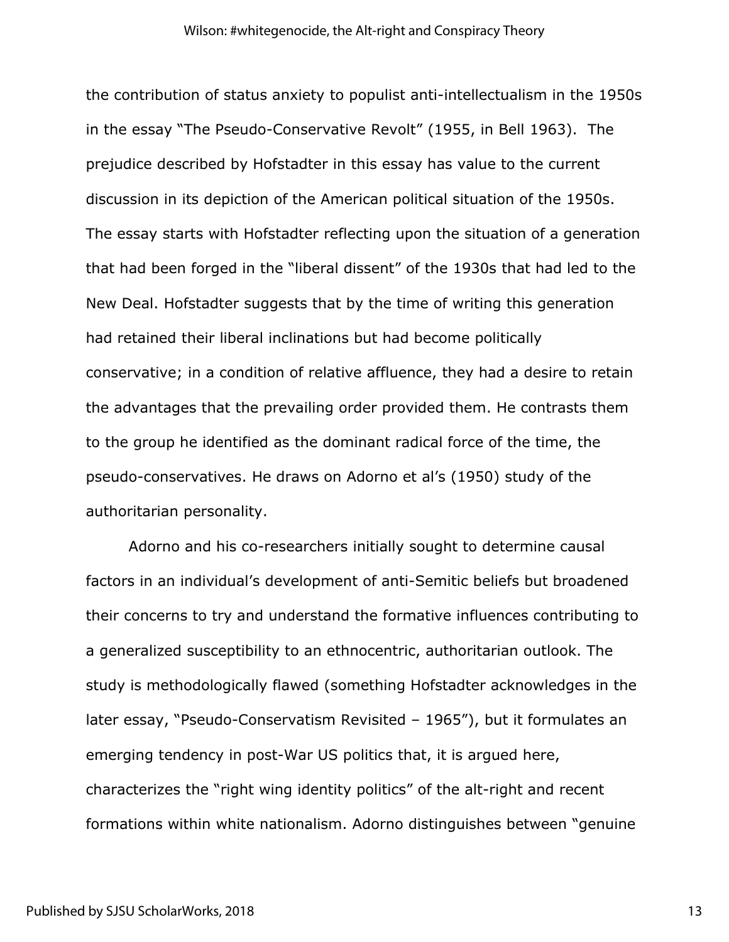the contribution of status anxiety to populist anti-intellectualism in the 1950s in the essay "The Pseudo-Conservative Revolt" (1955, in Bell 1963). The prejudice described by Hofstadter in this essay has value to the current discussion in its depiction of the American political situation of the 1950s. The essay starts with Hofstadter reflecting upon the situation of a generation that had been forged in the "liberal dissent" of the 1930s that had led to the New Deal. Hofstadter suggests that by the time of writing this generation had retained their liberal inclinations but had become politically conservative; in a condition of relative affluence, they had a desire to retain the advantages that the prevailing order provided them. He contrasts them to the group he identified as the dominant radical force of the time, the pseudo-conservatives. He draws on Adorno et al's (1950) study of the authoritarian personality.

Adorno and his co-researchers initially sought to determine causal factors in an individual's development of anti-Semitic beliefs but broadened their concerns to try and understand the formative influences contributing to a generalized susceptibility to an ethnocentric, authoritarian outlook. The study is methodologically flawed (something Hofstadter acknowledges in the later essay, "Pseudo-Conservatism Revisited – 1965"), but it formulates an emerging tendency in post-War US politics that, it is argued here, characterizes the "right wing identity politics" of the alt-right and recent formations within white nationalism. Adorno distinguishes between "genuine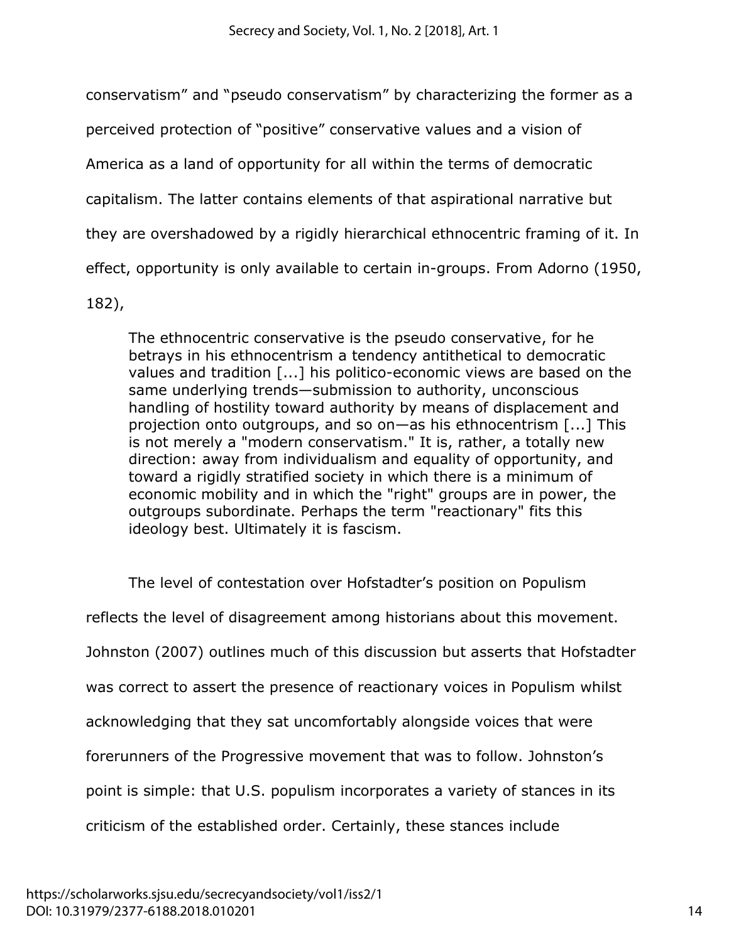conservatism" and "pseudo conservatism" by characterizing the former as a

perceived protection of "positive" conservative values and a vision of

America as a land of opportunity for all within the terms of democratic

capitalism. The latter contains elements of that aspirational narrative but

they are overshadowed by a rigidly hierarchical ethnocentric framing of it. In

effect, opportunity is only available to certain in-groups. From Adorno (1950,

182),

The ethnocentric conservative is the pseudo conservative, for he betrays in his ethnocentrism a tendency antithetical to democratic values and tradition [...] his politico-economic views are based on the same underlying trends—submission to authority, unconscious handling of hostility toward authority by means of displacement and projection onto outgroups, and so on—as his ethnocentrism [...] This is not merely a "modern conservatism." It is, rather, a totally new direction: away from individualism and equality of opportunity, and toward a rigidly stratified society in which there is a minimum of economic mobility and in which the "right" groups are in power, the outgroups subordinate. Perhaps the term "reactionary" fits this ideology best. Ultimately it is fascism.

The level of contestation over Hofstadter's position on Populism reflects the level of disagreement among historians about this movement. Johnston (2007) outlines much of this discussion but asserts that Hofstadter was correct to assert the presence of reactionary voices in Populism whilst acknowledging that they sat uncomfortably alongside voices that were forerunners of the Progressive movement that was to follow. Johnston's point is simple: that U.S. populism incorporates a variety of stances in its criticism of the established order. Certainly, these stances include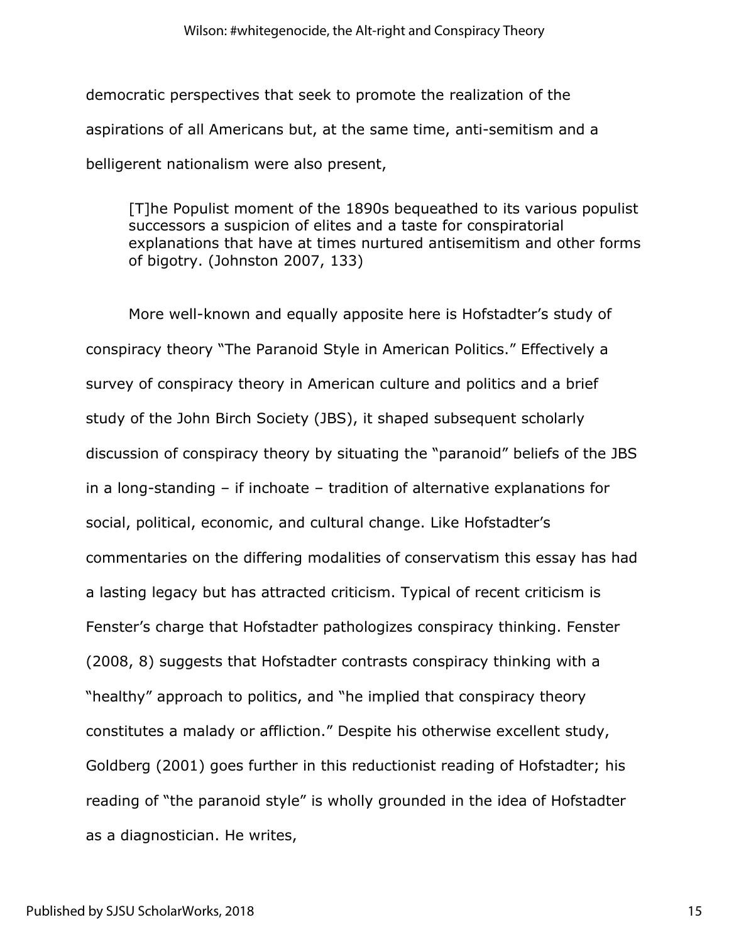democratic perspectives that seek to promote the realization of the aspirations of all Americans but, at the same time, anti-semitism and a belligerent nationalism were also present,

[T]he Populist moment of the 1890s bequeathed to its various populist successors a suspicion of elites and a taste for conspiratorial explanations that have at times nurtured antisemitism and other forms of bigotry. (Johnston 2007, 133)

More well-known and equally apposite here is Hofstadter's study of conspiracy theory "The Paranoid Style in American Politics." Effectively a survey of conspiracy theory in American culture and politics and a brief study of the John Birch Society (JBS), it shaped subsequent scholarly discussion of conspiracy theory by situating the "paranoid" beliefs of the JBS in a long-standing – if inchoate – tradition of alternative explanations for social, political, economic, and cultural change. Like Hofstadter's commentaries on the differing modalities of conservatism this essay has had a lasting legacy but has attracted criticism. Typical of recent criticism is Fenster's charge that Hofstadter pathologizes conspiracy thinking. Fenster (2008, 8) suggests that Hofstadter contrasts conspiracy thinking with a "healthy" approach to politics, and "he implied that conspiracy theory constitutes a malady or affliction." Despite his otherwise excellent study, Goldberg (2001) goes further in this reductionist reading of Hofstadter; his reading of "the paranoid style" is wholly grounded in the idea of Hofstadter as a diagnostician. He writes,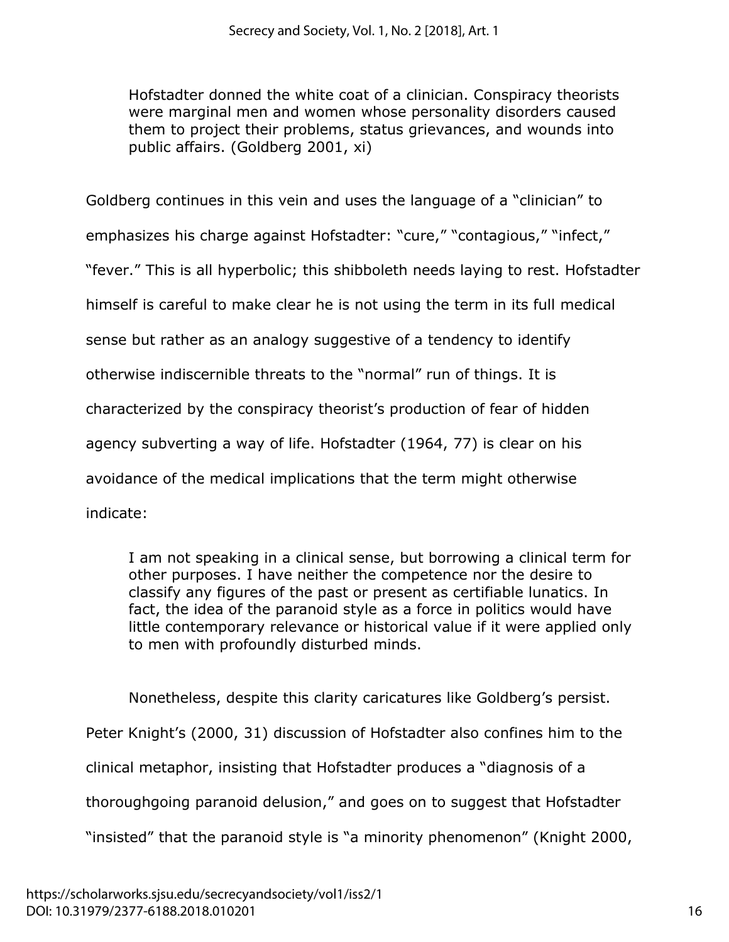Hofstadter donned the white coat of a clinician. Conspiracy theorists were marginal men and women whose personality disorders caused them to project their problems, status grievances, and wounds into public affairs. (Goldberg 2001, xi)

Goldberg continues in this vein and uses the language of a "clinician" to emphasizes his charge against Hofstadter: "cure," "contagious," "infect," "fever." This is all hyperbolic; this shibboleth needs laying to rest. Hofstadter himself is careful to make clear he is not using the term in its full medical sense but rather as an analogy suggestive of a tendency to identify otherwise indiscernible threats to the "normal" run of things. It is characterized by the conspiracy theorist's production of fear of hidden agency subverting a way of life. Hofstadter (1964, 77) is clear on his avoidance of the medical implications that the term might otherwise indicate:

I am not speaking in a clinical sense, but borrowing a clinical term for other purposes. I have neither the competence nor the desire to classify any figures of the past or present as certifiable lunatics. In fact, the idea of the paranoid style as a force in politics would have little contemporary relevance or historical value if it were applied only to men with profoundly disturbed minds.

Nonetheless, despite this clarity caricatures like Goldberg's persist. Peter Knight's (2000, 31) discussion of Hofstadter also confines him to the clinical metaphor, insisting that Hofstadter produces a "diagnosis of a thoroughgoing paranoid delusion," and goes on to suggest that Hofstadter "insisted" that the paranoid style is "a minority phenomenon" (Knight 2000,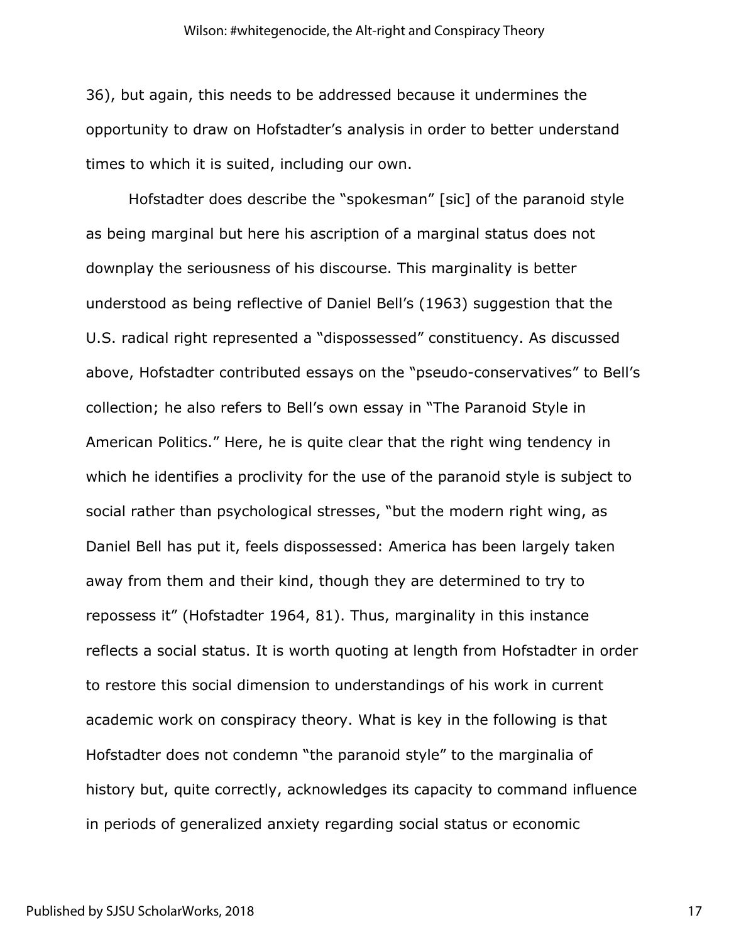36), but again, this needs to be addressed because it undermines the opportunity to draw on Hofstadter's analysis in order to better understand times to which it is suited, including our own.

Hofstadter does describe the "spokesman" [sic] of the paranoid style as being marginal but here his ascription of a marginal status does not downplay the seriousness of his discourse. This marginality is better understood as being reflective of Daniel Bell's (1963) suggestion that the U.S. radical right represented a "dispossessed" constituency. As discussed above, Hofstadter contributed essays on the "pseudo-conservatives" to Bell's collection; he also refers to Bell's own essay in "The Paranoid Style in American Politics." Here, he is quite clear that the right wing tendency in which he identifies a proclivity for the use of the paranoid style is subject to social rather than psychological stresses, "but the modern right wing, as Daniel Bell has put it, feels dispossessed: America has been largely taken away from them and their kind, though they are determined to try to repossess it" (Hofstadter 1964, 81). Thus, marginality in this instance reflects a social status. It is worth quoting at length from Hofstadter in order to restore this social dimension to understandings of his work in current academic work on conspiracy theory. What is key in the following is that Hofstadter does not condemn "the paranoid style" to the marginalia of history but, quite correctly, acknowledges its capacity to command influence in periods of generalized anxiety regarding social status or economic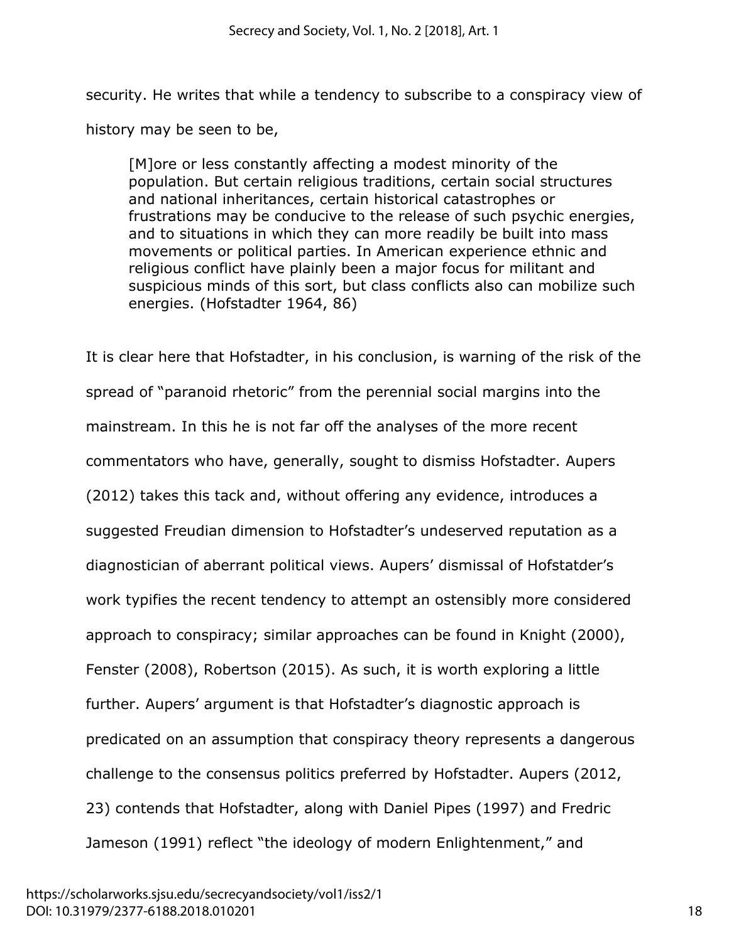security. He writes that while a tendency to subscribe to a conspiracy view of history may be seen to be,

[M]ore or less constantly affecting a modest minority of the population. But certain religious traditions, certain social structures and national inheritances, certain historical catastrophes or frustrations may be conducive to the release of such psychic energies, and to situations in which they can more readily be built into mass movements or political parties. In American experience ethnic and religious conflict have plainly been a major focus for militant and suspicious minds of this sort, but class conflicts also can mobilize such energies. (Hofstadter 1964, 86)

It is clear here that Hofstadter, in his conclusion, is warning of the risk of the spread of "paranoid rhetoric" from the perennial social margins into the mainstream. In this he is not far off the analyses of the more recent commentators who have, generally, sought to dismiss Hofstadter. Aupers (2012) takes this tack and, without offering any evidence, introduces a suggested Freudian dimension to Hofstadter's undeserved reputation as a diagnostician of aberrant political views. Aupers' dismissal of Hofstatder's work typifies the recent tendency to attempt an ostensibly more considered approach to conspiracy; similar approaches can be found in Knight (2000), Fenster (2008), Robertson (2015). As such, it is worth exploring a little further. Aupers' argument is that Hofstadter's diagnostic approach is predicated on an assumption that conspiracy theory represents a dangerous challenge to the consensus politics preferred by Hofstadter. Aupers (2012, 23) contends that Hofstadter, along with Daniel Pipes (1997) and Fredric Jameson (1991) reflect "the ideology of modern Enlightenment," and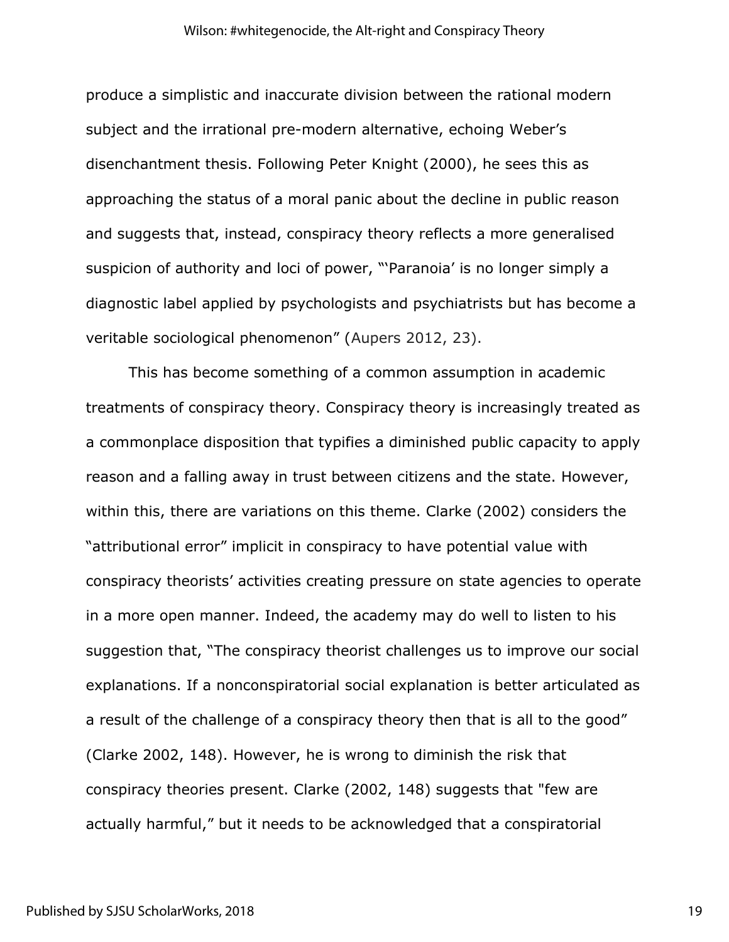produce a simplistic and inaccurate division between the rational modern subject and the irrational pre-modern alternative, echoing Weber's disenchantment thesis. Following Peter Knight (2000), he sees this as approaching the status of a moral panic about the decline in public reason and suggests that, instead, conspiracy theory reflects a more generalised suspicion of authority and loci of power, "'Paranoia' is no longer simply a diagnostic label applied by psychologists and psychiatrists but has become a veritable sociological phenomenon" (Aupers 2012, 23).

This has become something of a common assumption in academic treatments of conspiracy theory. Conspiracy theory is increasingly treated as a commonplace disposition that typifies a diminished public capacity to apply reason and a falling away in trust between citizens and the state. However, within this, there are variations on this theme. Clarke (2002) considers the "attributional error" implicit in conspiracy to have potential value with conspiracy theorists' activities creating pressure on state agencies to operate in a more open manner. Indeed, the academy may do well to listen to his suggestion that, "The conspiracy theorist challenges us to improve our social explanations. If a nonconspiratorial social explanation is better articulated as a result of the challenge of a conspiracy theory then that is all to the good" (Clarke 2002, 148). However, he is wrong to diminish the risk that conspiracy theories present. Clarke (2002, 148) suggests that "few are actually harmful," but it needs to be acknowledged that a conspiratorial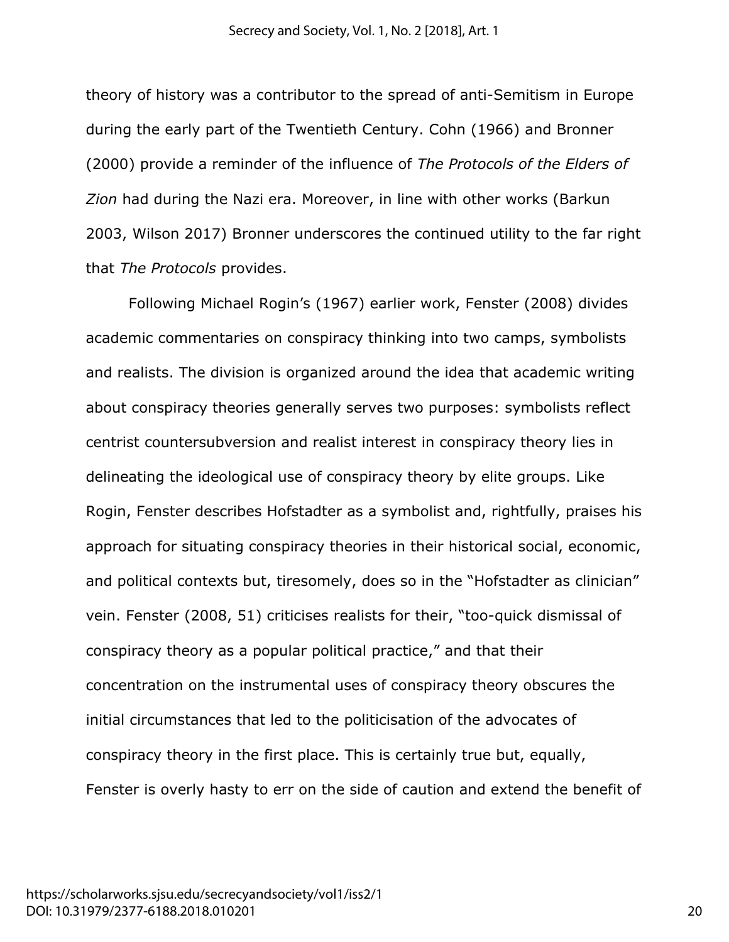theory of history was a contributor to the spread of anti-Semitism in Europe during the early part of the Twentieth Century. Cohn (1966) and Bronner (2000) provide a reminder of the influence of *The Protocols of the Elders of Zion* had during the Nazi era. Moreover, in line with other works (Barkun 2003, Wilson 2017) Bronner underscores the continued utility to the far right that *The Protocols* provides.

Following Michael Rogin's (1967) earlier work, Fenster (2008) divides academic commentaries on conspiracy thinking into two camps, symbolists and realists. The division is organized around the idea that academic writing about conspiracy theories generally serves two purposes: symbolists reflect centrist countersubversion and realist interest in conspiracy theory lies in delineating the ideological use of conspiracy theory by elite groups. Like Rogin, Fenster describes Hofstadter as a symbolist and, rightfully, praises his approach for situating conspiracy theories in their historical social, economic, and political contexts but, tiresomely, does so in the "Hofstadter as clinician" vein. Fenster (2008, 51) criticises realists for their, "too-quick dismissal of conspiracy theory as a popular political practice," and that their concentration on the instrumental uses of conspiracy theory obscures the initial circumstances that led to the politicisation of the advocates of conspiracy theory in the first place. This is certainly true but, equally, Fenster is overly hasty to err on the side of caution and extend the benefit of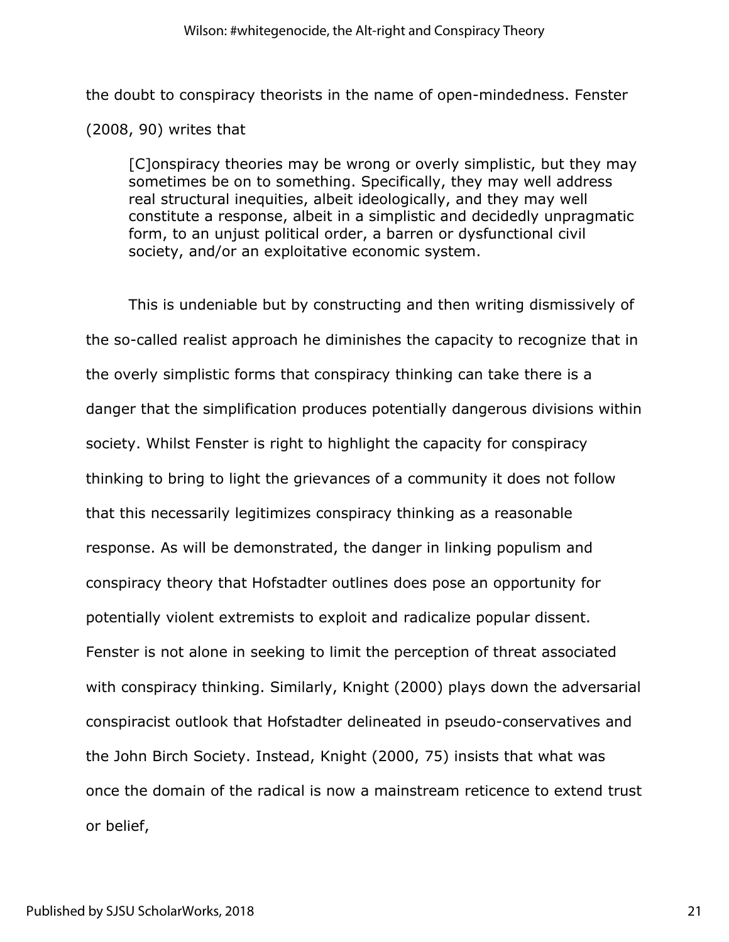the doubt to conspiracy theorists in the name of open-mindedness. Fenster (2008, 90) writes that

[C]onspiracy theories may be wrong or overly simplistic, but they may sometimes be on to something. Specifically, they may well address real structural inequities, albeit ideologically, and they may well constitute a response, albeit in a simplistic and decidedly unpragmatic form, to an unjust political order, a barren or dysfunctional civil society, and/or an exploitative economic system.

This is undeniable but by constructing and then writing dismissively of the so-called realist approach he diminishes the capacity to recognize that in the overly simplistic forms that conspiracy thinking can take there is a danger that the simplification produces potentially dangerous divisions within society. Whilst Fenster is right to highlight the capacity for conspiracy thinking to bring to light the grievances of a community it does not follow that this necessarily legitimizes conspiracy thinking as a reasonable response. As will be demonstrated, the danger in linking populism and conspiracy theory that Hofstadter outlines does pose an opportunity for potentially violent extremists to exploit and radicalize popular dissent. Fenster is not alone in seeking to limit the perception of threat associated with conspiracy thinking. Similarly, Knight (2000) plays down the adversarial conspiracist outlook that Hofstadter delineated in pseudo-conservatives and the John Birch Society. Instead, Knight (2000, 75) insists that what was once the domain of the radical is now a mainstream reticence to extend trust or belief,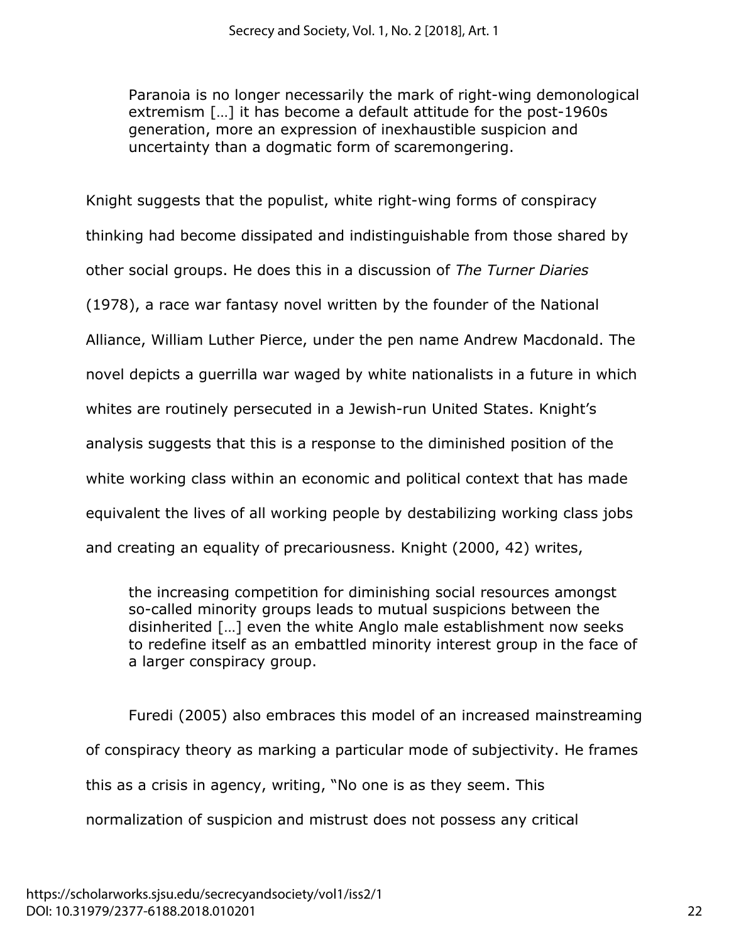Paranoia is no longer necessarily the mark of right-wing demonological extremism […] it has become a default attitude for the post-1960s generation, more an expression of inexhaustible suspicion and uncertainty than a dogmatic form of scaremongering.

Knight suggests that the populist, white right-wing forms of conspiracy thinking had become dissipated and indistinguishable from those shared by other social groups. He does this in a discussion of *The Turner Diaries* (1978), a race war fantasy novel written by the founder of the National Alliance, William Luther Pierce, under the pen name Andrew Macdonald. The novel depicts a guerrilla war waged by white nationalists in a future in which whites are routinely persecuted in a Jewish-run United States. Knight's analysis suggests that this is a response to the diminished position of the white working class within an economic and political context that has made equivalent the lives of all working people by destabilizing working class jobs and creating an equality of precariousness. Knight (2000, 42) writes,

the increasing competition for diminishing social resources amongst so-called minority groups leads to mutual suspicions between the disinherited […] even the white Anglo male establishment now seeks to redefine itself as an embattled minority interest group in the face of a larger conspiracy group.

Furedi (2005) also embraces this model of an increased mainstreaming of conspiracy theory as marking a particular mode of subjectivity. He frames this as a crisis in agency, writing, "No one is as they seem. This normalization of suspicion and mistrust does not possess any critical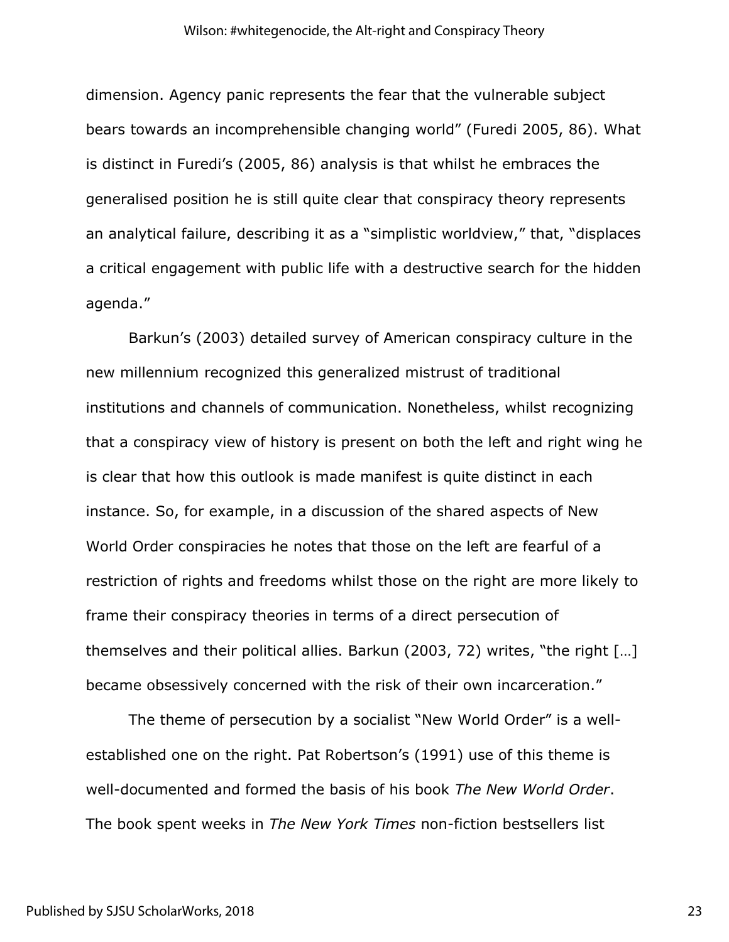dimension. Agency panic represents the fear that the vulnerable subject bears towards an incomprehensible changing world" (Furedi 2005, 86). What is distinct in Furedi's (2005, 86) analysis is that whilst he embraces the generalised position he is still quite clear that conspiracy theory represents an analytical failure, describing it as a "simplistic worldview," that, "displaces a critical engagement with public life with a destructive search for the hidden agenda."

Barkun's (2003) detailed survey of American conspiracy culture in the new millennium recognized this generalized mistrust of traditional institutions and channels of communication. Nonetheless, whilst recognizing that a conspiracy view of history is present on both the left and right wing he is clear that how this outlook is made manifest is quite distinct in each instance. So, for example, in a discussion of the shared aspects of New World Order conspiracies he notes that those on the left are fearful of a restriction of rights and freedoms whilst those on the right are more likely to frame their conspiracy theories in terms of a direct persecution of themselves and their political allies. Barkun (2003, 72) writes, "the right […] became obsessively concerned with the risk of their own incarceration."

The theme of persecution by a socialist "New World Order" is a wellestablished one on the right. Pat Robertson's (1991) use of this theme is well-documented and formed the basis of his book *The New World Order*. The book spent weeks in *The New York Times* non-fiction bestsellers list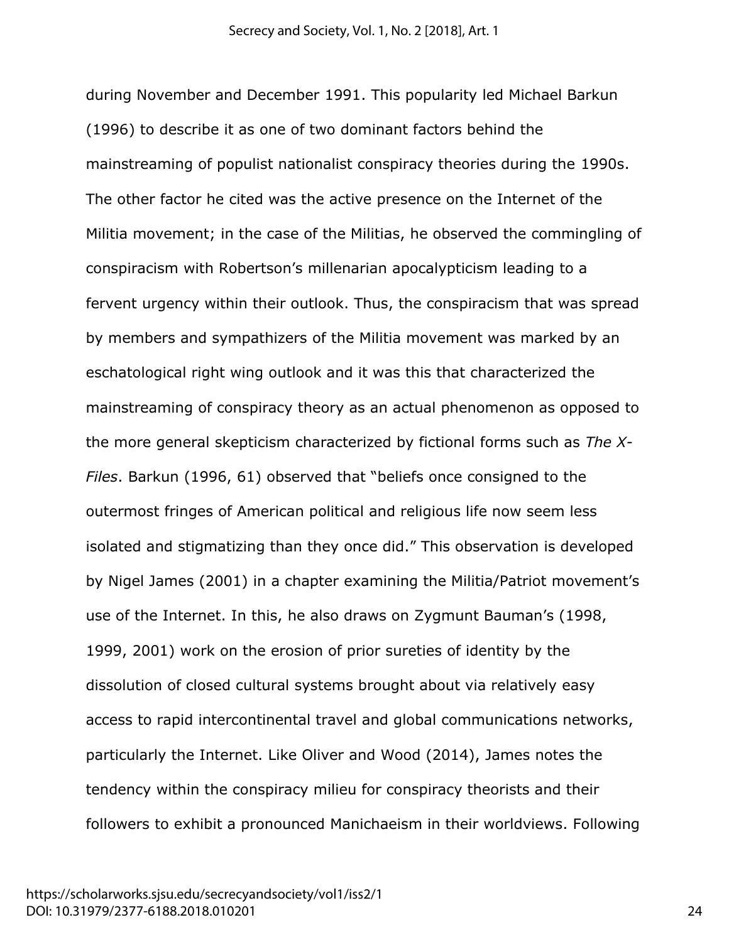during November and December 1991. This popularity led Michael Barkun (1996) to describe it as one of two dominant factors behind the mainstreaming of populist nationalist conspiracy theories during the 1990s. The other factor he cited was the active presence on the Internet of the Militia movement; in the case of the Militias, he observed the commingling of conspiracism with Robertson's millenarian apocalypticism leading to a fervent urgency within their outlook. Thus, the conspiracism that was spread by members and sympathizers of the Militia movement was marked by an eschatological right wing outlook and it was this that characterized the mainstreaming of conspiracy theory as an actual phenomenon as opposed to the more general skepticism characterized by fictional forms such as *The X-Files*. Barkun (1996, 61) observed that "beliefs once consigned to the outermost fringes of American political and religious life now seem less isolated and stigmatizing than they once did." This observation is developed by Nigel James (2001) in a chapter examining the Militia/Patriot movement's use of the Internet. In this, he also draws on Zygmunt Bauman's (1998, 1999, 2001) work on the erosion of prior sureties of identity by the dissolution of closed cultural systems brought about via relatively easy access to rapid intercontinental travel and global communications networks, particularly the Internet. Like Oliver and Wood (2014), James notes the tendency within the conspiracy milieu for conspiracy theorists and their followers to exhibit a pronounced Manichaeism in their worldviews. Following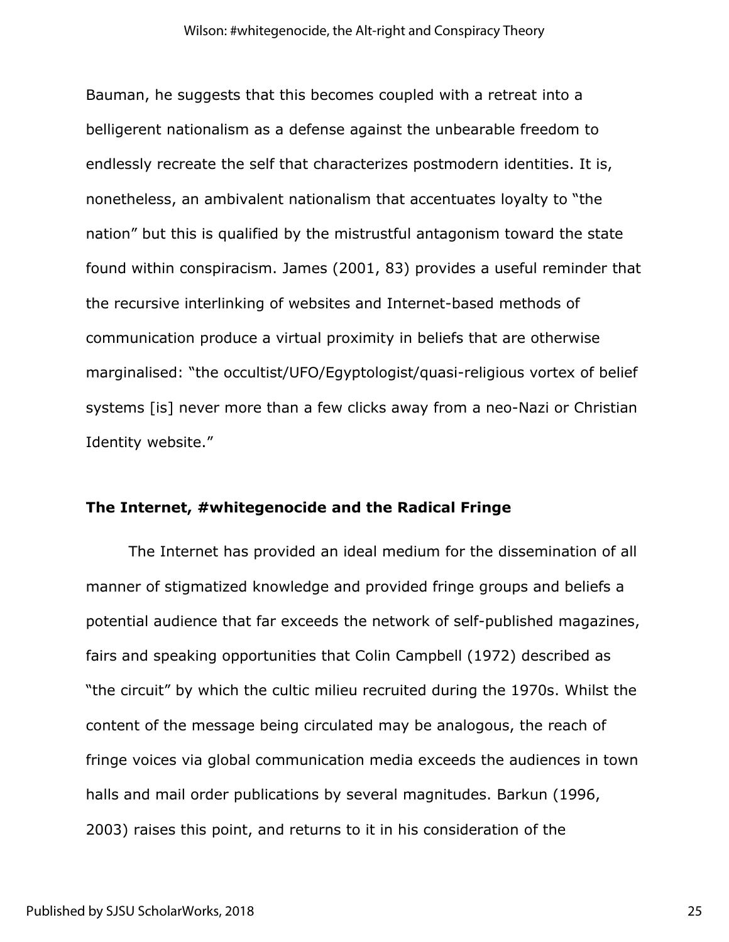Bauman, he suggests that this becomes coupled with a retreat into a belligerent nationalism as a defense against the unbearable freedom to endlessly recreate the self that characterizes postmodern identities. It is, nonetheless, an ambivalent nationalism that accentuates loyalty to "the nation" but this is qualified by the mistrustful antagonism toward the state found within conspiracism. James (2001, 83) provides a useful reminder that the recursive interlinking of websites and Internet-based methods of communication produce a virtual proximity in beliefs that are otherwise marginalised: "the occultist/UFO/Egyptologist/quasi-religious vortex of belief systems [is] never more than a few clicks away from a neo-Nazi or Christian Identity website."

#### **The Internet, #whitegenocide and the Radical Fringe**

The Internet has provided an ideal medium for the dissemination of all manner of stigmatized knowledge and provided fringe groups and beliefs a potential audience that far exceeds the network of self-published magazines, fairs and speaking opportunities that Colin Campbell (1972) described as "the circuit" by which the cultic milieu recruited during the 1970s. Whilst the content of the message being circulated may be analogous, the reach of fringe voices via global communication media exceeds the audiences in town halls and mail order publications by several magnitudes. Barkun (1996, 2003) raises this point, and returns to it in his consideration of the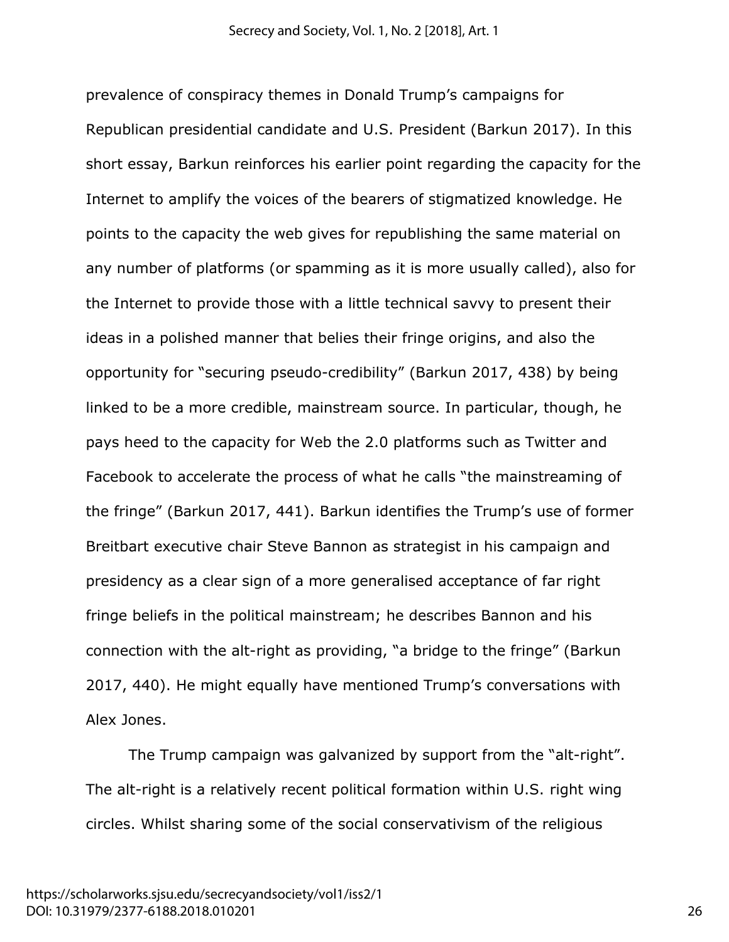prevalence of conspiracy themes in Donald Trump's campaigns for Republican presidential candidate and U.S. President (Barkun 2017). In this short essay, Barkun reinforces his earlier point regarding the capacity for the Internet to amplify the voices of the bearers of stigmatized knowledge. He points to the capacity the web gives for republishing the same material on any number of platforms (or spamming as it is more usually called), also for the Internet to provide those with a little technical savvy to present their ideas in a polished manner that belies their fringe origins, and also the opportunity for "securing pseudo-credibility" (Barkun 2017, 438) by being linked to be a more credible, mainstream source. In particular, though, he pays heed to the capacity for Web the 2.0 platforms such as Twitter and Facebook to accelerate the process of what he calls "the mainstreaming of the fringe" (Barkun 2017, 441). Barkun identifies the Trump's use of former Breitbart executive chair Steve Bannon as strategist in his campaign and presidency as a clear sign of a more generalised acceptance of far right fringe beliefs in the political mainstream; he describes Bannon and his connection with the alt-right as providing, "a bridge to the fringe" (Barkun 2017, 440). He might equally have mentioned Trump's conversations with Alex Jones.

The Trump campaign was galvanized by support from the "alt-right". The alt-right is a relatively recent political formation within U.S. right wing circles. Whilst sharing some of the social conservativism of the religious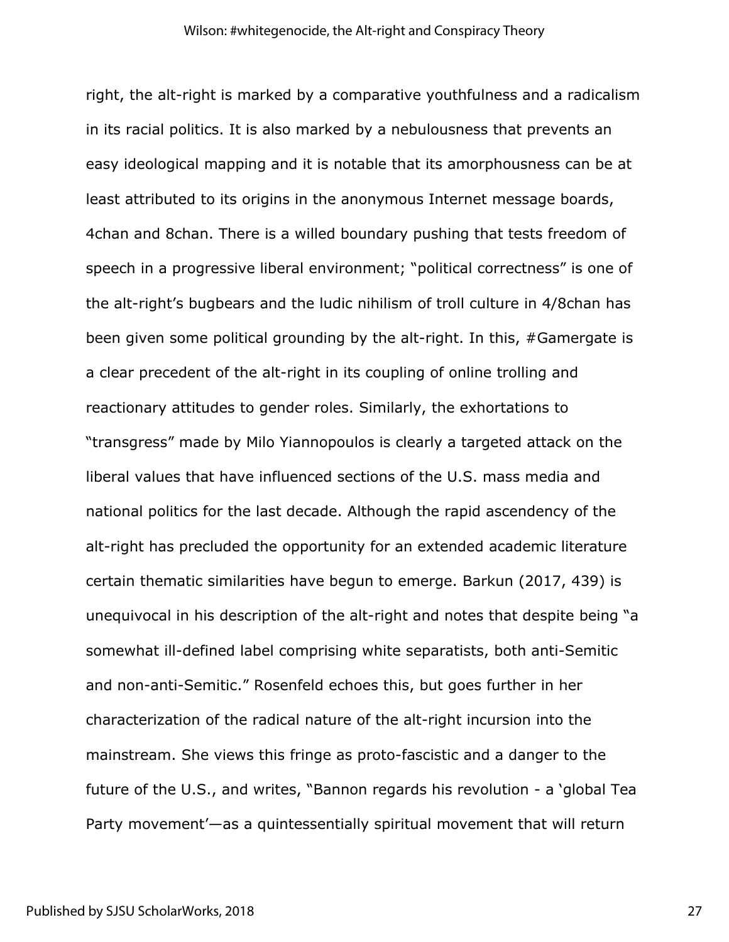right, the alt-right is marked by a comparative youthfulness and a radicalism in its racial politics. It is also marked by a nebulousness that prevents an easy ideological mapping and it is notable that its amorphousness can be at least attributed to its origins in the anonymous Internet message boards, 4chan and 8chan. There is a willed boundary pushing that tests freedom of speech in a progressive liberal environment; "political correctness" is one of the alt-right's bugbears and the ludic nihilism of troll culture in 4/8chan has been given some political grounding by the alt-right. In this, #Gamergate is a clear precedent of the alt-right in its coupling of online trolling and reactionary attitudes to gender roles. Similarly, the exhortations to "transgress" made by Milo Yiannopoulos is clearly a targeted attack on the liberal values that have influenced sections of the U.S. mass media and national politics for the last decade. Although the rapid ascendency of the alt-right has precluded the opportunity for an extended academic literature certain thematic similarities have begun to emerge. Barkun (2017, 439) is unequivocal in his description of the alt-right and notes that despite being "a somewhat ill-defined label comprising white separatists, both anti-Semitic and non-anti-Semitic." Rosenfeld echoes this, but goes further in her characterization of the radical nature of the alt-right incursion into the mainstream. She views this fringe as proto-fascistic and a danger to the future of the U.S., and writes, "Bannon regards his revolution - a 'global Tea Party movement'—as a quintessentially spiritual movement that will return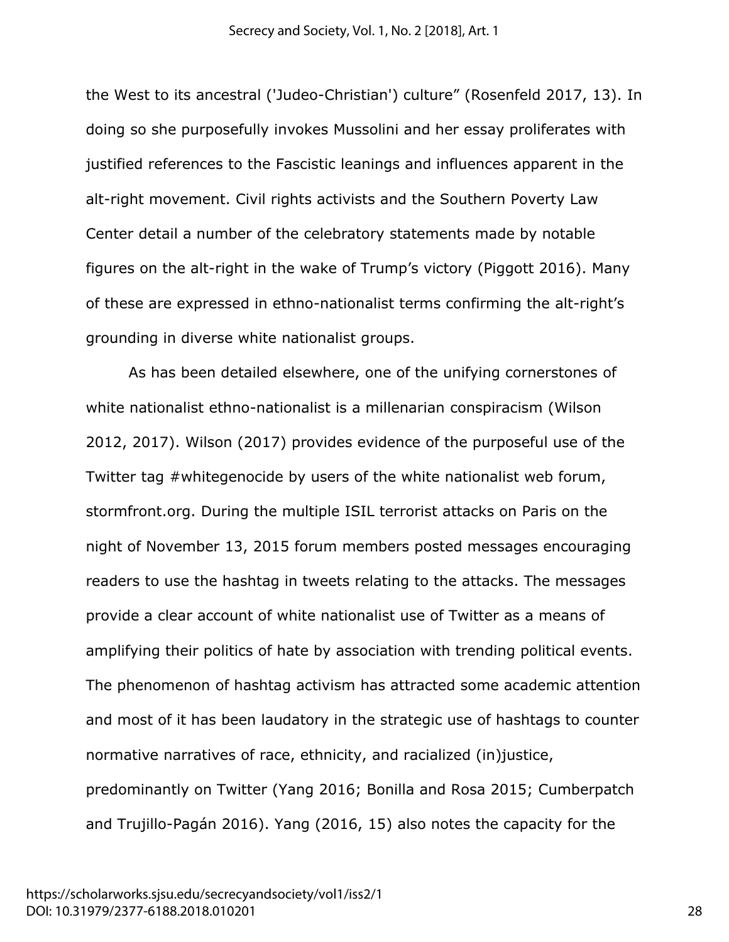the West to its ancestral ('Judeo-Christian') culture" (Rosenfeld 2017, 13). In doing so she purposefully invokes Mussolini and her essay proliferates with justified references to the Fascistic leanings and influences apparent in the alt-right movement. Civil rights activists and the Southern Poverty Law Center detail a number of the celebratory statements made by notable figures on the alt-right in the wake of Trump's victory (Piggott 2016). Many of these are expressed in ethno-nationalist terms confirming the alt-right's grounding in diverse white nationalist groups.

As has been detailed elsewhere, one of the unifying cornerstones of white nationalist ethno-nationalist is a millenarian conspiracism (Wilson 2012, 2017). Wilson (2017) provides evidence of the purposeful use of the Twitter tag #whitegenocide by users of the white nationalist web forum, stormfront.org. During the multiple ISIL terrorist attacks on Paris on the night of November 13, 2015 forum members posted messages encouraging readers to use the hashtag in tweets relating to the attacks. The messages provide a clear account of white nationalist use of Twitter as a means of amplifying their politics of hate by association with trending political events. The phenomenon of hashtag activism has attracted some academic attention and most of it has been laudatory in the strategic use of hashtags to counter normative narratives of race, ethnicity, and racialized (in)justice, predominantly on Twitter (Yang 2016; Bonilla and Rosa 2015; Cumberpatch and Trujillo-Pagán 2016). Yang (2016, 15) also notes the capacity for the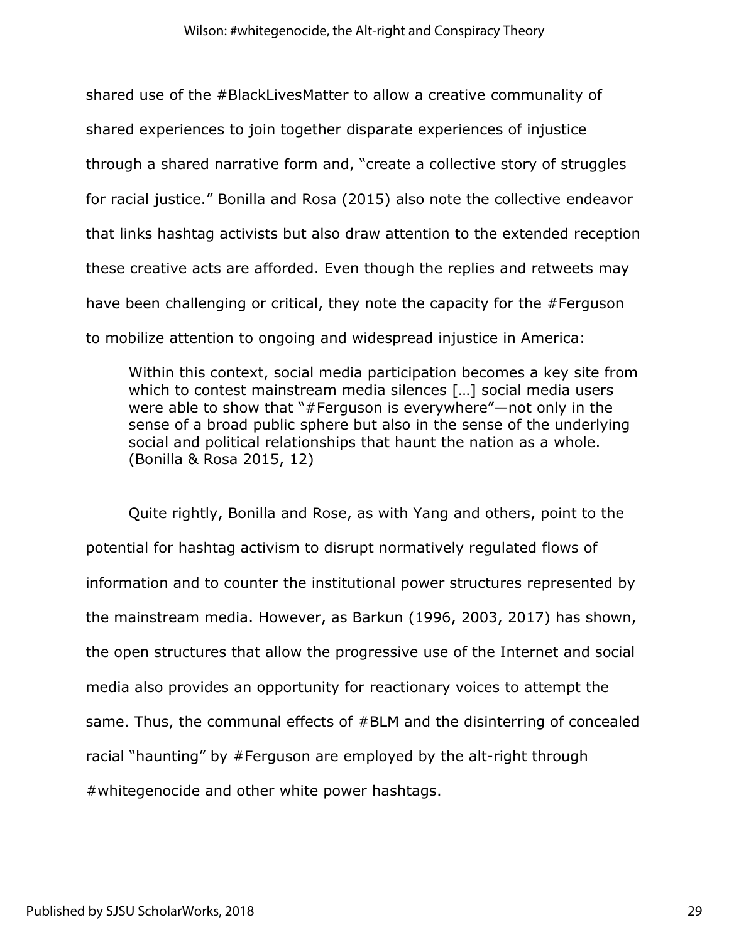shared use of the #BlackLivesMatter to allow a creative communality of shared experiences to join together disparate experiences of injustice through a shared narrative form and, "create a collective story of struggles for racial justice." Bonilla and Rosa (2015) also note the collective endeavor that links hashtag activists but also draw attention to the extended reception these creative acts are afforded. Even though the replies and retweets may have been challenging or critical, they note the capacity for the #Ferguson to mobilize attention to ongoing and widespread injustice in America:

Within this context, social media participation becomes a key site from which to contest mainstream media silences […] social media users were able to show that "#Ferguson is everywhere"—not only in the sense of a broad public sphere but also in the sense of the underlying social and political relationships that haunt the nation as a whole. (Bonilla & Rosa 2015, 12)

Quite rightly, Bonilla and Rose, as with Yang and others, point to the potential for hashtag activism to disrupt normatively regulated flows of information and to counter the institutional power structures represented by the mainstream media. However, as Barkun (1996, 2003, 2017) has shown, the open structures that allow the progressive use of the Internet and social media also provides an opportunity for reactionary voices to attempt the same. Thus, the communal effects of #BLM and the disinterring of concealed racial "haunting" by #Ferguson are employed by the alt-right through #whitegenocide and other white power hashtags.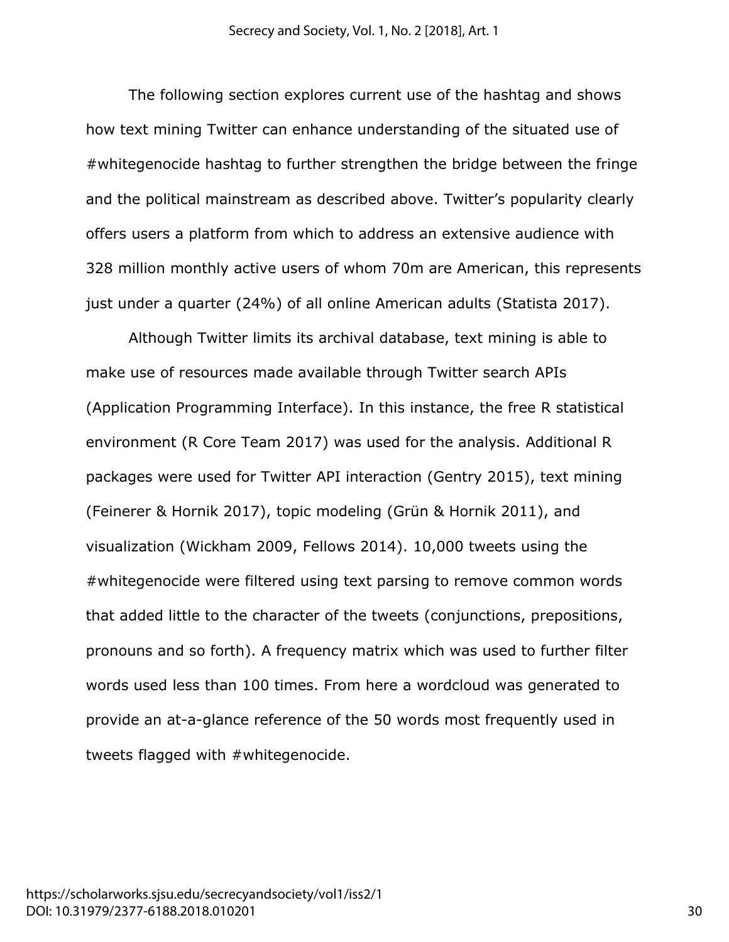The following section explores current use of the hashtag and shows how text mining Twitter can enhance understanding of the situated use of #whitegenocide hashtag to further strengthen the bridge between the fringe and the political mainstream as described above. Twitter's popularity clearly offers users a platform from which to address an extensive audience with 328 million monthly active users of whom 70m are American, this represents just under a quarter (24%) of all online American adults (Statista 2017).

Although Twitter limits its archival database, text mining is able to make use of resources made available through Twitter search APIs (Application Programming Interface). In this instance, the free R statistical environment (R Core Team 2017) was used for the analysis. Additional R packages were used for Twitter API interaction (Gentry 2015), text mining (Feinerer & Hornik 2017), topic modeling (Grün & Hornik 2011), and visualization (Wickham 2009, Fellows 2014). 10,000 tweets using the #whitegenocide were filtered using text parsing to remove common words that added little to the character of the tweets (conjunctions, prepositions, pronouns and so forth). A frequency matrix which was used to further filter words used less than 100 times. From here a wordcloud was generated to provide an at-a-glance reference of the 50 words most frequently used in tweets flagged with #whitegenocide.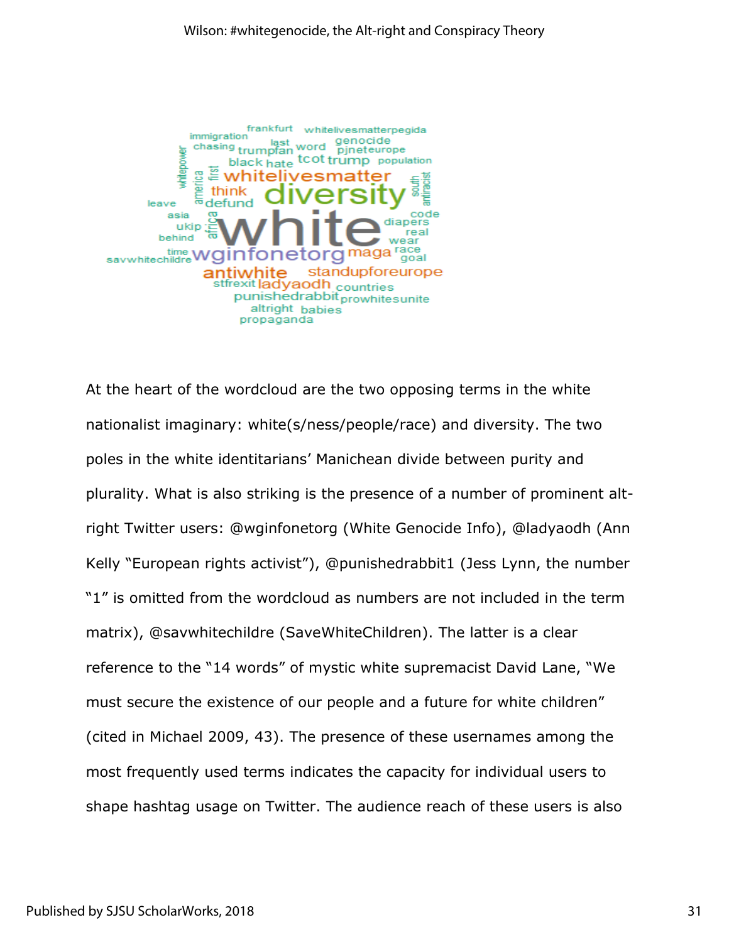

At the heart of the wordcloud are the two opposing terms in the white nationalist imaginary: white(s/ness/people/race) and diversity. The two poles in the white identitarians' Manichean divide between purity and plurality. What is also striking is the presence of a number of prominent altright Twitter users: @wginfonetorg (White Genocide Info), @ladyaodh (Ann Kelly "European rights activist"), @punishedrabbit1 (Jess Lynn, the number "1" is omitted from the wordcloud as numbers are not included in the term matrix), @savwhitechildre (SaveWhiteChildren). The latter is a clear reference to the "14 words" of mystic white supremacist David Lane, "We must secure the existence of our people and a future for white children" (cited in Michael 2009, 43). The presence of these usernames among the most frequently used terms indicates the capacity for individual users to shape hashtag usage on Twitter. The audience reach of these users is also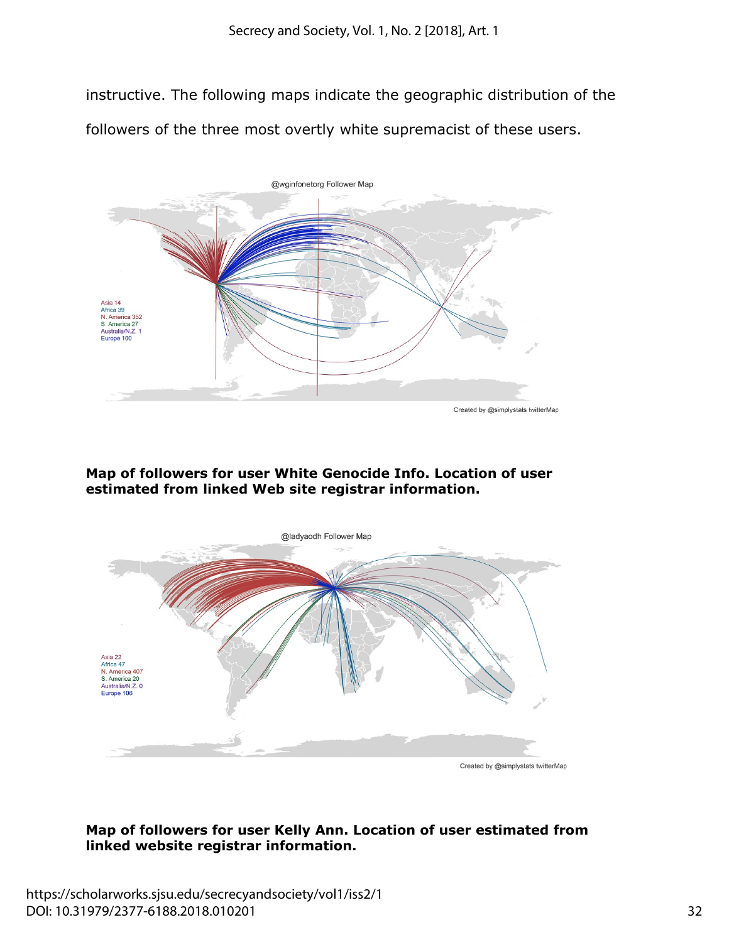instructive. The following maps indicate the geographic distribution of the followers of the three most overtly white supremacist of these users.



### **Map of followers for user White Genocide Info. Location of user estimated from linked Web site registrar information.**



## **Map of followers for user Kelly Ann. Location of user estimated from linked website registrar information.**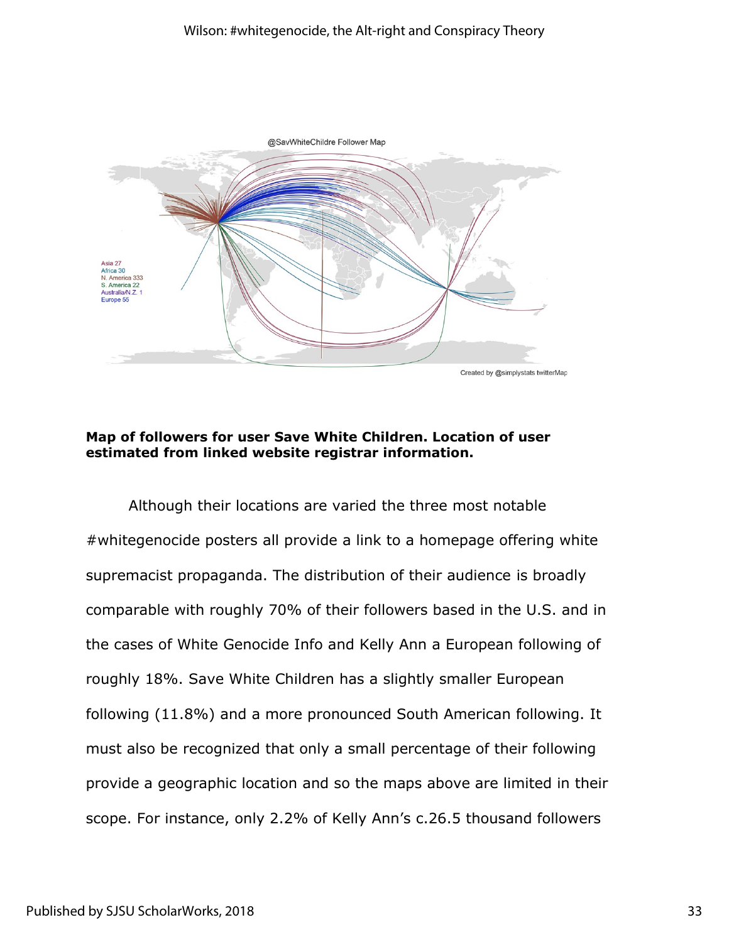#### Wilson: #whitegenocide, the Alt-right and Conspiracy Theory



#### **Map of followers for user Save White Children. Location of user estimated from linked website registrar information.**

Although their locations are varied the three most notable #whitegenocide posters all provide a link to a homepage offering white supremacist propaganda. The distribution of their audience is broadly comparable with roughly 70% of their followers based in the U.S. and in the cases of White Genocide Info and Kelly Ann a European following of roughly 18%. Save White Children has a slightly smaller European following (11.8%) and a more pronounced South American following. It must also be recognized that only a small percentage of their following provide a geographic location and so the maps above are limited in their scope. For instance, only 2.2% of Kelly Ann's c.26.5 thousand followers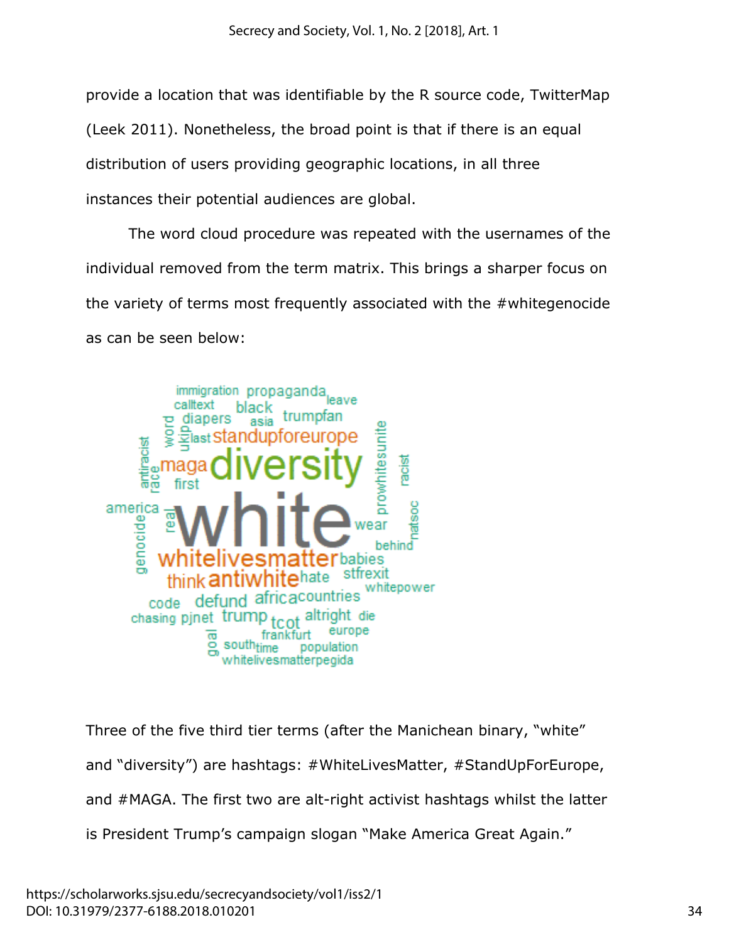provide a location that was identifiable by the R source code, TwitterMap (Leek 2011). Nonetheless, the broad point is that if there is an equal distribution of users providing geographic locations, in all three instances their potential audiences are global.

The word cloud procedure was repeated with the usernames of the individual removed from the term matrix. This brings a sharper focus on the variety of terms most frequently associated with the #whitegenocide as can be seen below:



Three of the five third tier terms (after the Manichean binary, "white" and "diversity") are hashtags: #WhiteLivesMatter, #StandUpForEurope, and #MAGA. The first two are alt-right activist hashtags whilst the latter is President Trump's campaign slogan "Make America Great Again."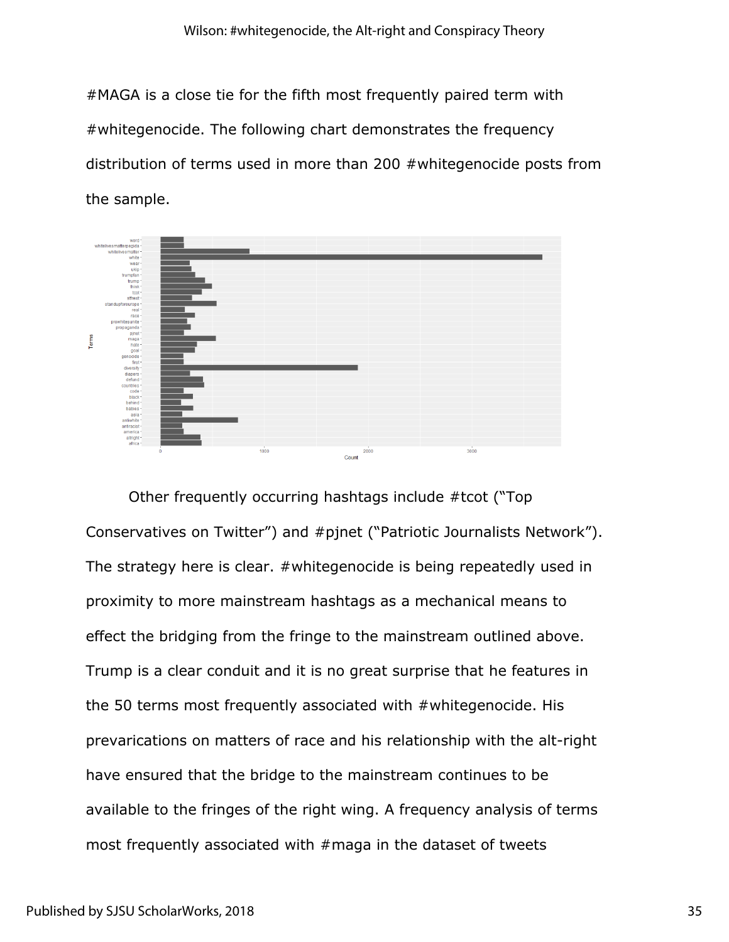#MAGA is a close tie for the fifth most frequently paired term with #whitegenocide. The following chart demonstrates the frequency distribution of terms used in more than 200 #whitegenocide posts from the sample.



Other frequently occurring hashtags include #tcot ("Top Conservatives on Twitter") and #pjnet ("Patriotic Journalists Network"). The strategy here is clear. #whitegenocide is being repeatedly used in proximity to more mainstream hashtags as a mechanical means to effect the bridging from the fringe to the mainstream outlined above. Trump is a clear conduit and it is no great surprise that he features in the 50 terms most frequently associated with #whitegenocide. His prevarications on matters of race and his relationship with the alt-right have ensured that the bridge to the mainstream continues to be available to the fringes of the right wing. A frequency analysis of terms most frequently associated with #maga in the dataset of tweets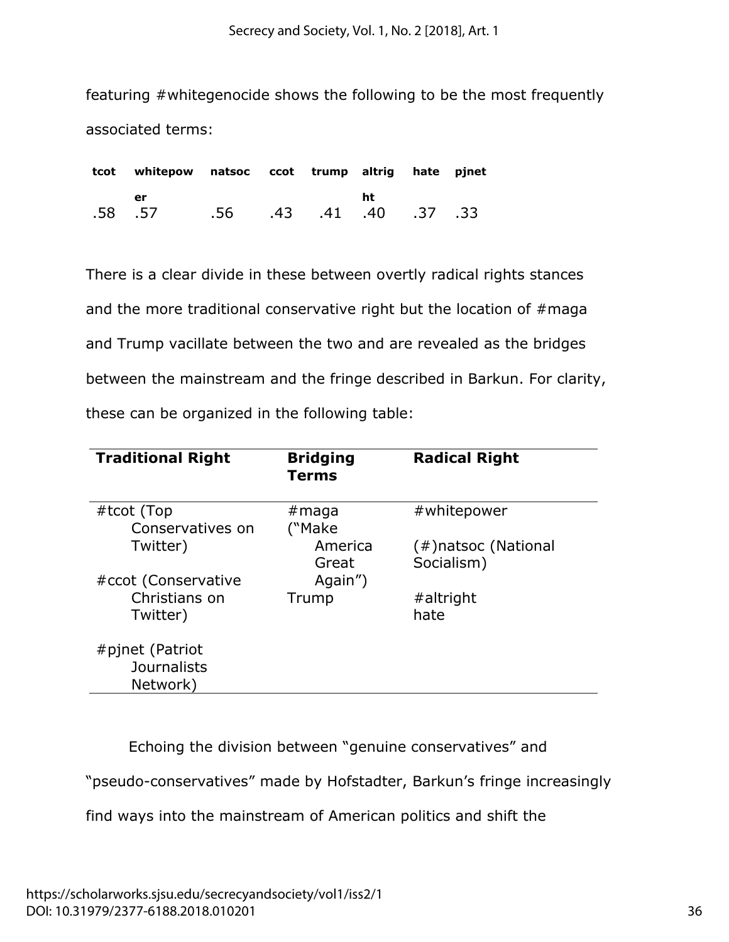Secrecy and Society, Vol. 1, No. 2 [2018], Art. 1

featuring #whitegenocide shows the following to be the most frequently associated terms:

|        | tcot whitepow natsoc ccot trump altrig hate pjnet |                         |  |    |  |
|--------|---------------------------------------------------|-------------------------|--|----|--|
|        | er                                                |                         |  | ht |  |
| .58.57 |                                                   | .56 .43 .41 .40 .37 .33 |  |    |  |

There is a clear divide in these between overtly radical rights stances and the more traditional conservative right but the location of #maga and Trump vacillate between the two and are revealed as the bridges between the mainstream and the fringe described in Barkun. For clarity, these can be organized in the following table:

| <b>Traditional Right</b>              | <b>Bridging</b><br>Terms | <b>Radical Right</b>              |
|---------------------------------------|--------------------------|-----------------------------------|
| #tcot (Top<br>Conservatives on        | #maga<br>("Make          | #whitepower                       |
| Twitter)                              | America<br>Great         | (#)natsoc (National<br>Socialism) |
| #ccot (Conservative<br>Christians on  | Again")<br>Trump         | #altright                         |
| Twitter)                              |                          | hate                              |
| #pjnet (Patriot<br><b>Journalists</b> |                          |                                   |
| Network)                              |                          |                                   |

Echoing the division between "genuine conservatives" and

"pseudo-conservatives" made by Hofstadter, Barkun's fringe increasingly

find ways into the mainstream of American politics and shift the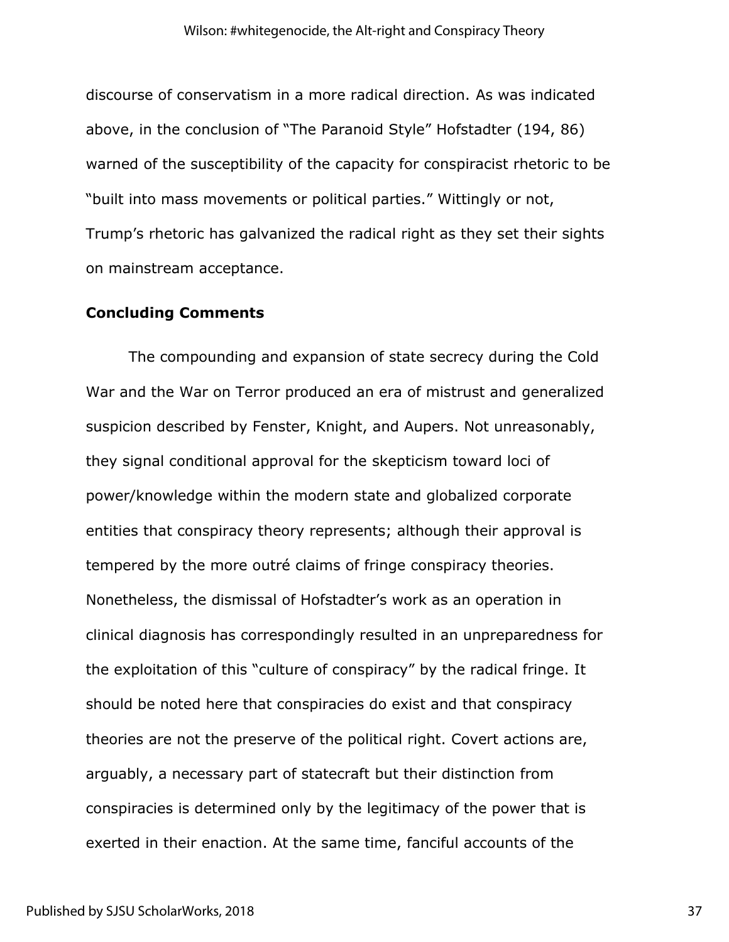discourse of conservatism in a more radical direction. As was indicated above, in the conclusion of "The Paranoid Style" Hofstadter (194, 86) warned of the susceptibility of the capacity for conspiracist rhetoric to be "built into mass movements or political parties." Wittingly or not, Trump's rhetoric has galvanized the radical right as they set their sights on mainstream acceptance.

#### **Concluding Comments**

The compounding and expansion of state secrecy during the Cold War and the War on Terror produced an era of mistrust and generalized suspicion described by Fenster, Knight, and Aupers. Not unreasonably, they signal conditional approval for the skepticism toward loci of power/knowledge within the modern state and globalized corporate entities that conspiracy theory represents; although their approval is tempered by the more outré claims of fringe conspiracy theories. Nonetheless, the dismissal of Hofstadter's work as an operation in clinical diagnosis has correspondingly resulted in an unpreparedness for the exploitation of this "culture of conspiracy" by the radical fringe. It should be noted here that conspiracies do exist and that conspiracy theories are not the preserve of the political right. Covert actions are, arguably, a necessary part of statecraft but their distinction from conspiracies is determined only by the legitimacy of the power that is exerted in their enaction. At the same time, fanciful accounts of the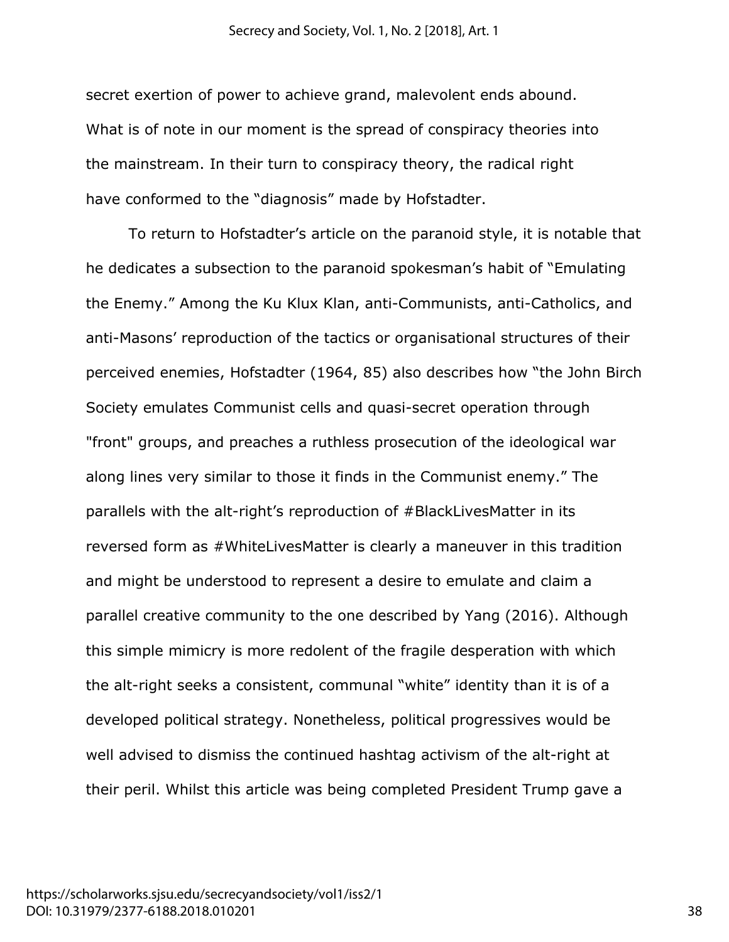secret exertion of power to achieve grand, malevolent ends abound. What is of note in our moment is the spread of conspiracy theories into the mainstream. In their turn to conspiracy theory, the radical right have conformed to the "diagnosis" made by Hofstadter.

To return to Hofstadter's article on the paranoid style, it is notable that he dedicates a subsection to the paranoid spokesman's habit of "Emulating the Enemy." Among the Ku Klux Klan, anti-Communists, anti-Catholics, and anti-Masons' reproduction of the tactics or organisational structures of their perceived enemies, Hofstadter (1964, 85) also describes how "the John Birch Society emulates Communist cells and quasi-secret operation through "front" groups, and preaches a ruthless prosecution of the ideological war along lines very similar to those it finds in the Communist enemy." The parallels with the alt-right's reproduction of #BlackLivesMatter in its reversed form as #WhiteLivesMatter is clearly a maneuver in this tradition and might be understood to represent a desire to emulate and claim a parallel creative community to the one described by Yang (2016). Although this simple mimicry is more redolent of the fragile desperation with which the alt-right seeks a consistent, communal "white" identity than it is of a developed political strategy. Nonetheless, political progressives would be well advised to dismiss the continued hashtag activism of the alt-right at their peril. Whilst this article was being completed President Trump gave a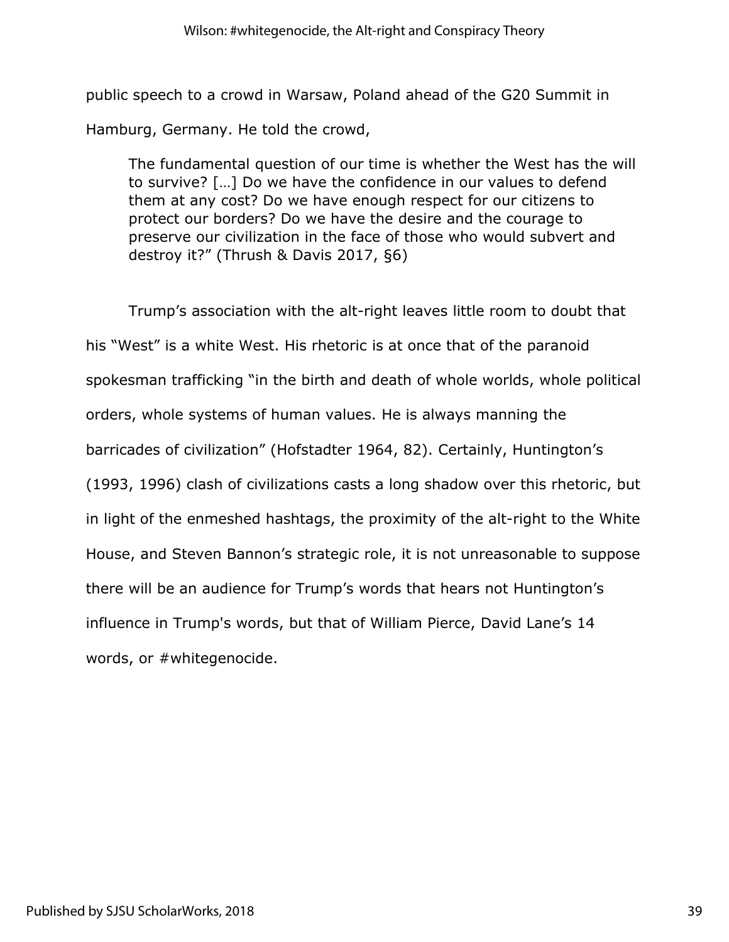public speech to a crowd in Warsaw, Poland ahead of the G20 Summit in Hamburg, Germany. He told the crowd,

The fundamental question of our time is whether the West has the will to survive? […] Do we have the confidence in our values to defend them at any cost? Do we have enough respect for our citizens to protect our borders? Do we have the desire and the courage to preserve our civilization in the face of those who would subvert and destroy it?" (Thrush & Davis 2017, §6)

Trump's association with the alt-right leaves little room to doubt that his "West" is a white West. His rhetoric is at once that of the paranoid spokesman trafficking "in the birth and death of whole worlds, whole political orders, whole systems of human values. He is always manning the barricades of civilization" (Hofstadter 1964, 82). Certainly, Huntington's (1993, 1996) clash of civilizations casts a long shadow over this rhetoric, but in light of the enmeshed hashtags, the proximity of the alt-right to the White House, and Steven Bannon's strategic role, it is not unreasonable to suppose there will be an audience for Trump's words that hears not Huntington's influence in Trump's words, but that of William Pierce, David Lane's 14 words, or #whitegenocide.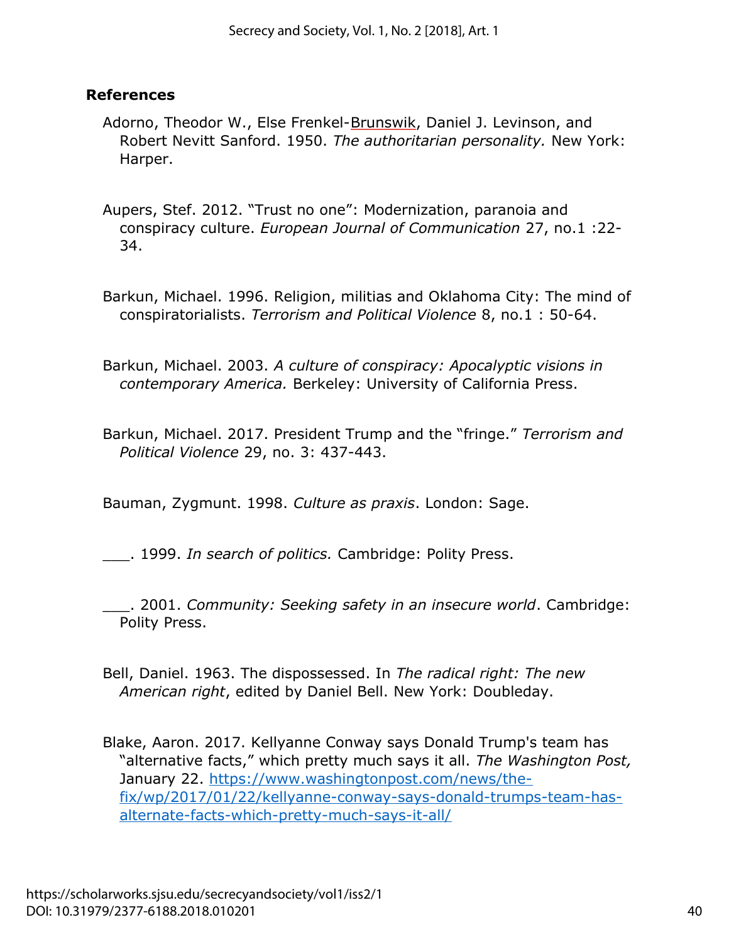## **References**

Adorno, Theodor W., Else Frenkel-Brunswik, Daniel J. Levinson, and Robert Nevitt Sanford. 1950. *The authoritarian personality.* New York: Harper.

Aupers, Stef. 2012. "Trust no one": Modernization, paranoia and conspiracy culture. *European Journal of Communication* 27, no.1 :22- 34.

- Barkun, Michael. 1996. Religion, militias and Oklahoma City: The mind of conspiratorialists. *Terrorism and Political Violence* 8, no.1 : 50-64.
- Barkun, Michael. 2003. *A culture of conspiracy: Apocalyptic visions in contemporary America.* Berkeley: University of California Press.
- Barkun, Michael. 2017. President Trump and the "fringe." *Terrorism and Political Violence* 29, no. 3: 437-443.

Bauman, Zygmunt. 1998. *Culture as praxis*. London: Sage.

\_\_\_. 1999. *In search of politics.* Cambridge: Polity Press.

\_\_\_. 2001. *Community: Seeking safety in an insecure world*. Cambridge: Polity Press.

Bell, Daniel. 1963. The dispossessed. In *The radical right: The new American right*, edited by Daniel Bell. New York: Doubleday.

Blake, Aaron. 2017. Kellyanne Conway says Donald Trump's team has "alternative facts," which pretty much says it all. *The Washington Post,* January 22. [https://www.washingtonpost.com/news/the](https://www.washingtonpost.com/news/the-fix/wp/2017/01/22/kellyanne-conway-says-donald-trumps-team-has-alternate-facts-which-pretty-much-says-it-all/)[fix/wp/2017/01/22/kellyanne-conway-says-donald-trumps-team-has](https://www.washingtonpost.com/news/the-fix/wp/2017/01/22/kellyanne-conway-says-donald-trumps-team-has-alternate-facts-which-pretty-much-says-it-all/)[alternate-facts-which-pretty-much-says-it-all/](https://www.washingtonpost.com/news/the-fix/wp/2017/01/22/kellyanne-conway-says-donald-trumps-team-has-alternate-facts-which-pretty-much-says-it-all/)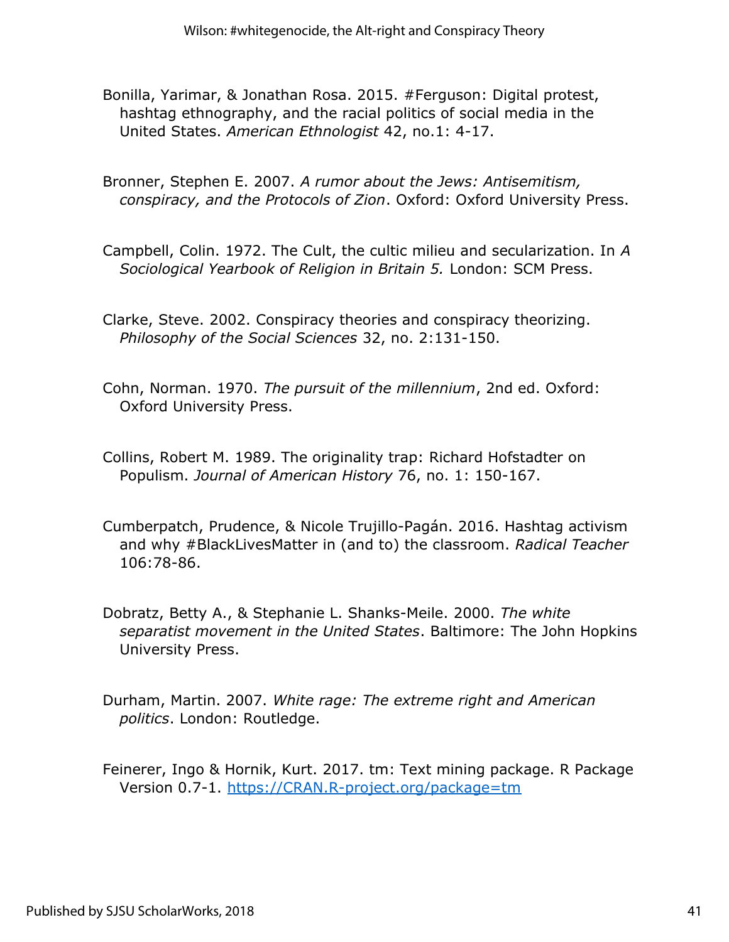- Bonilla, Yarimar, & Jonathan Rosa. 2015. #Ferguson: Digital protest, hashtag ethnography, and the racial politics of social media in the United States. *American Ethnologist* 42, no.1: 4-17.
- Bronner, Stephen E. 2007. *A rumor about the Jews: Antisemitism, conspiracy, and the Protocols of Zion*. Oxford: Oxford University Press.
- Campbell, Colin. 1972. The Cult, the cultic milieu and secularization. In *A Sociological Yearbook of Religion in Britain 5.* London: SCM Press.
- Clarke, Steve. 2002. Conspiracy theories and conspiracy theorizing. *Philosophy of the Social Sciences* 32, no. 2:131-150.
- Cohn, Norman. 1970. *The pursuit of the millennium*, 2nd ed. Oxford: Oxford University Press.
- Collins, Robert M. 1989. The originality trap: Richard Hofstadter on Populism. *Journal of American History* 76, no. 1: 150-167.
- Cumberpatch, Prudence, & Nicole Trujillo-Pagán. 2016. Hashtag activism and why #BlackLivesMatter in (and to) the classroom. *Radical Teacher* 106:78-86.
- Dobratz, Betty A., & Stephanie L. Shanks-Meile. 2000. *The white separatist movement in the United States*. Baltimore: The John Hopkins University Press.
- Durham, Martin. 2007. *White rage: The extreme right and American politics*. London: Routledge.
- Feinerer, Ingo & Hornik, Kurt. 2017. tm: Text mining package. R Package Version 0.7-1.<https://CRAN.R-project.org/package=tm>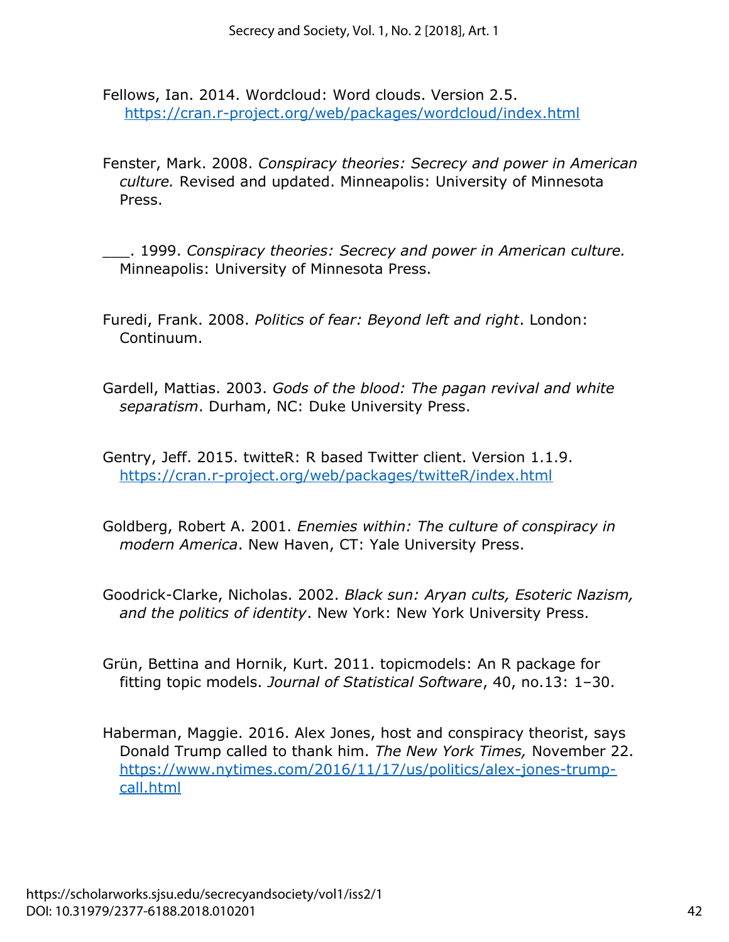Fellows, Ian. 2014. Wordcloud: Word clouds. Version 2.5. <https://cran.r-project.org/web/packages/wordcloud/index.html>

Fenster, Mark. 2008. *Conspiracy theories: Secrecy and power in American culture.* Revised and updated. Minneapolis: University of Minnesota Press.

\_\_\_. 1999. *Conspiracy theories: Secrecy and power in American culture.* Minneapolis: University of Minnesota Press.

- Furedi, Frank. 2008. *Politics of fear: Beyond left and right*. London: Continuum.
- Gardell, Mattias. 2003. *Gods of the blood: The pagan revival and white separatism*. Durham, NC: Duke University Press.

Gentry, Jeff. 2015. twitteR: R based Twitter client. Version 1.1.9. <https://cran.r-project.org/web/packages/twitteR/index.html>

Goldberg, Robert A. 2001. *Enemies within: The culture of conspiracy in modern America*. New Haven, CT: Yale University Press.

Goodrick-Clarke, Nicholas. 2002. *Black sun: Aryan cults, Esoteric Nazism, and the politics of identity*. New York: New York University Press.

Grün, Bettina and Hornik, Kurt. 2011. topicmodels: An R package for fitting topic models. *Journal of Statistical Software*, 40, no.13: 1–30.

Haberman, Maggie. 2016. Alex Jones, host and conspiracy theorist, says Donald Trump called to thank him. *The New York Times,* November 22. [https://www.nytimes.com/2016/11/17/us/politics/alex-jones-trump](https://www.nytimes.com/2016/11/17/us/politics/alex-jones-trump-call.html)[call.html](https://www.nytimes.com/2016/11/17/us/politics/alex-jones-trump-call.html)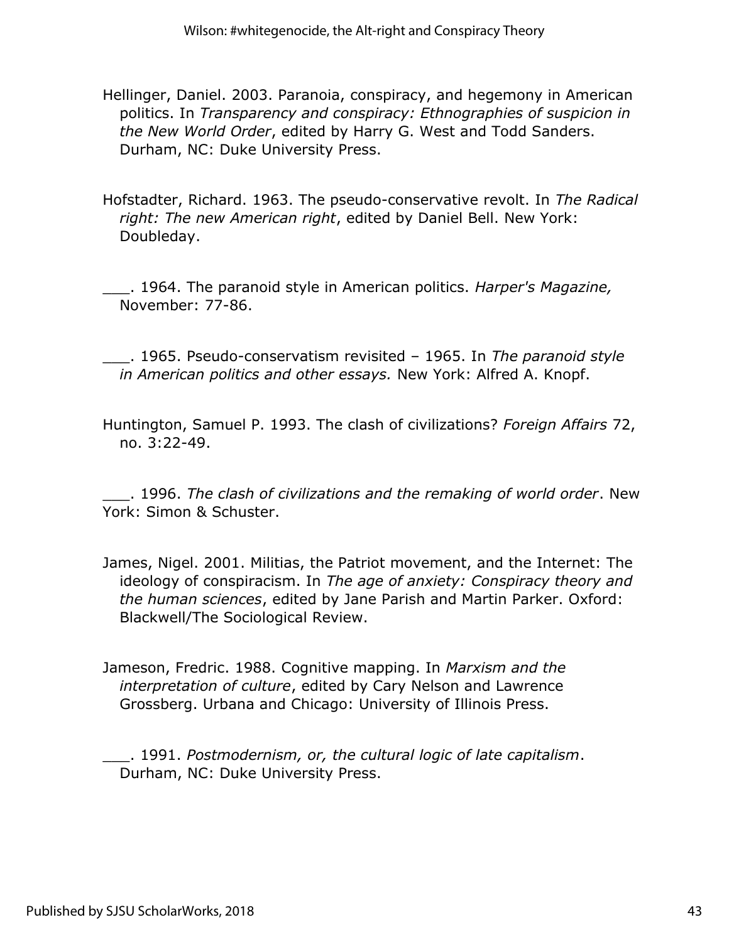- Hellinger, Daniel. 2003. Paranoia, conspiracy, and hegemony in American politics. In *Transparency and conspiracy: Ethnographies of suspicion in the New World Order*, edited by Harry G. West and Todd Sanders. Durham, NC: Duke University Press.
- Hofstadter, Richard. 1963. The pseudo-conservative revolt. In *The Radical right: The new American right*, edited by Daniel Bell. New York: Doubleday.
- \_\_\_. 1964. The paranoid style in American politics. *Harper's Magazine,* November: 77-86.
- \_\_\_. 1965. Pseudo-conservatism revisited 1965. In *The paranoid style in American politics and other essays.* New York: Alfred A. Knopf.
- Huntington, Samuel P. 1993. The clash of civilizations? *Foreign Affairs* 72, no. 3:22-49.

\_\_\_. 1996. *The clash of civilizations and the remaking of world order*. New York: Simon & Schuster.

- James, Nigel. 2001. Militias, the Patriot movement, and the Internet: The ideology of conspiracism. In *The age of anxiety: Conspiracy theory and the human sciences*, edited by Jane Parish and Martin Parker. Oxford: Blackwell/The Sociological Review.
- Jameson, Fredric. 1988. Cognitive mapping. In *Marxism and the interpretation of culture*, edited by Cary Nelson and Lawrence Grossberg. Urbana and Chicago: University of Illinois Press.
- \_\_\_. 1991. *Postmodernism, or, the cultural logic of late capitalism*. Durham, NC: Duke University Press.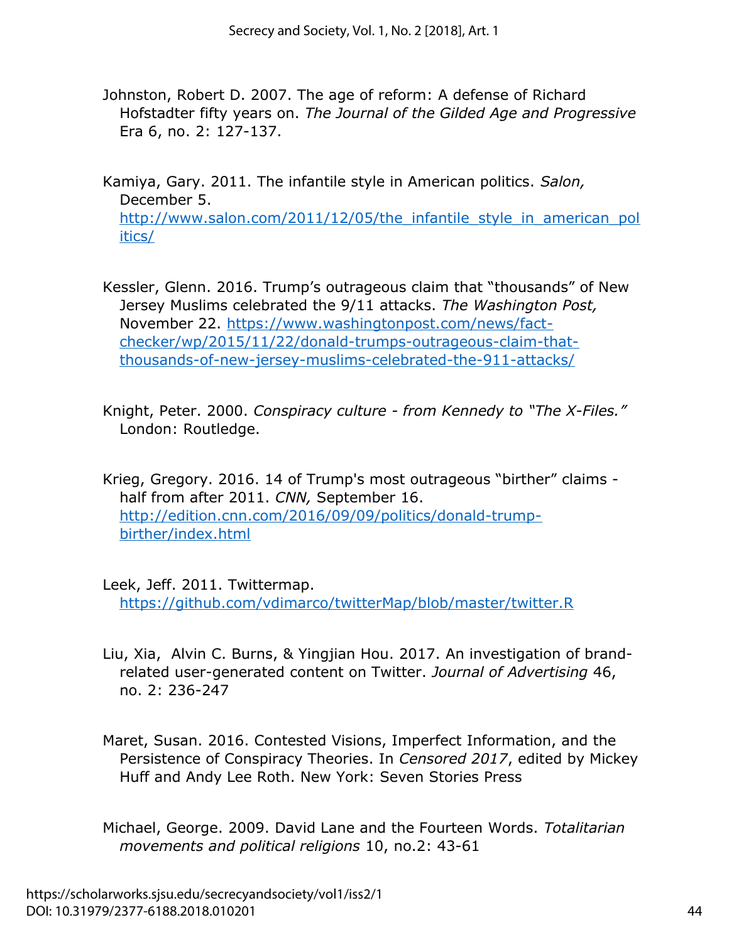Johnston, Robert D. 2007. The age of reform: A defense of Richard Hofstadter fifty years on. *The Journal of the Gilded Age and Progressive* Era 6, no. 2: 127-137.

Kamiya, Gary. 2011. The infantile style in American politics. *Salon,* December 5. http://www.salon.com/2011/12/05/the infantile style in american pol [itics/](http://www.salon.com/2011/12/05/the_infantile_style_in_american_politics/)

- Kessler, Glenn. 2016. Trump's outrageous claim that "thousands" of New Jersey Muslims celebrated the 9/11 attacks. *The Washington Post,* November 22. [https://www.washingtonpost.com/news/fact](https://www.washingtonpost.com/news/fact-checker/wp/2015/11/22/donald-trumps-outrageous-claim-that-thousands-of-new-jersey-muslims-celebrated-the-911-attacks/)[checker/wp/2015/11/22/donald-trumps-outrageous-claim-that](https://www.washingtonpost.com/news/fact-checker/wp/2015/11/22/donald-trumps-outrageous-claim-that-thousands-of-new-jersey-muslims-celebrated-the-911-attacks/)[thousands-of-new-jersey-muslims-celebrated-the-911-attacks/](https://www.washingtonpost.com/news/fact-checker/wp/2015/11/22/donald-trumps-outrageous-claim-that-thousands-of-new-jersey-muslims-celebrated-the-911-attacks/)
- Knight, Peter. 2000. *Conspiracy culture from Kennedy to "The X-Files."*  London: Routledge.
- Krieg, Gregory. 2016. 14 of Trump's most outrageous "birther" claims half from after 2011. *CNN,* September 16. [http://edition.cnn.com/2016/09/09/politics/donald-trump](http://edition.cnn.com/2016/09/09/politics/donald-trump-birther/index.html)[birther/index.html](http://edition.cnn.com/2016/09/09/politics/donald-trump-birther/index.html)

Leek, Jeff. 2011. Twittermap. <https://github.com/vdimarco/twitterMap/blob/master/twitter.R>

- Liu, Xia, Alvin C. Burns, & Yingjian Hou. 2017. An investigation of brandrelated user-generated content on Twitter. *Journal of Advertising* 46, no. 2: 236-247
- Maret, Susan. 2016. Contested Visions, Imperfect Information, and the Persistence of Conspiracy Theories. In *Censored 2017*, edited by Mickey Huff and Andy Lee Roth. New York: Seven Stories Press
- Michael, George. 2009. David Lane and the Fourteen Words. *Totalitarian movements and political religions* 10, no.2: 43-61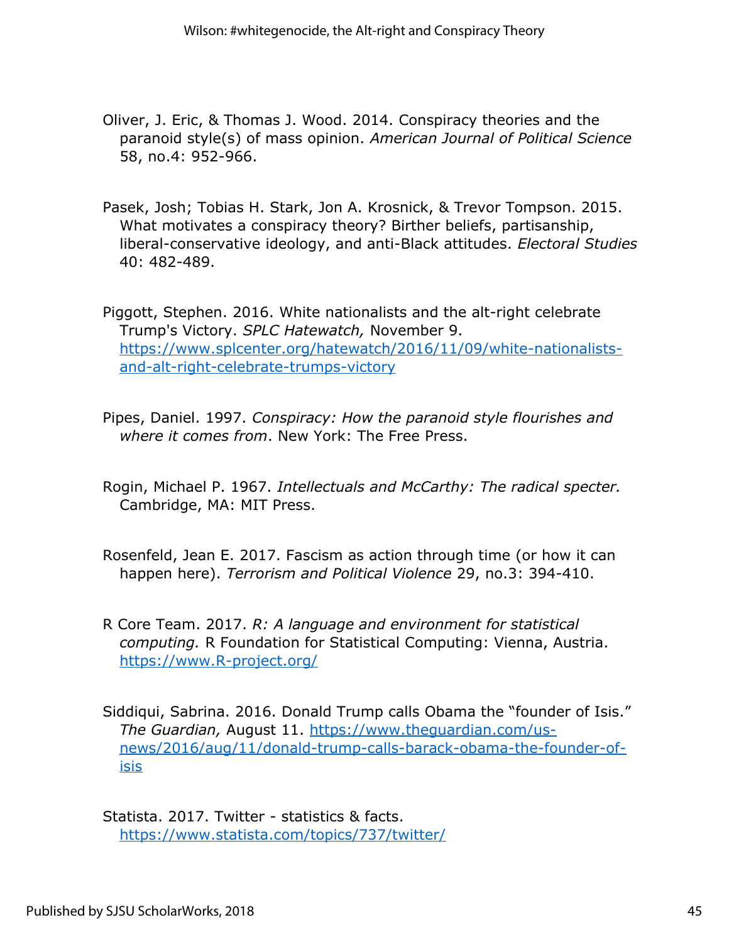- Oliver, J. Eric, & Thomas J. Wood. 2014. Conspiracy theories and the paranoid style(s) of mass opinion. *American Journal of Political Science* 58, no.4: 952-966.
- Pasek, Josh; Tobias H. Stark, Jon A. Krosnick, & Trevor Tompson. 2015. What motivates a conspiracy theory? Birther beliefs, partisanship, liberal-conservative ideology, and anti-Black attitudes. *Electoral Studies* 40: 482-489.

Piggott, Stephen. 2016. White nationalists and the alt-right celebrate Trump's Victory. *SPLC Hatewatch,* November 9. [https://www.splcenter.org/hatewatch/2016/11/09/white-nationalists](https://www.splcenter.org/hatewatch/2016/11/09/white-nationalists-and-alt-right-celebrate-trumps-victory)[and-alt-right-celebrate-trumps-victory](https://www.splcenter.org/hatewatch/2016/11/09/white-nationalists-and-alt-right-celebrate-trumps-victory)

- Pipes, Daniel. 1997. *Conspiracy: How the paranoid style flourishes and where it comes from*. New York: The Free Press.
- Rogin, Michael P. 1967. *Intellectuals and McCarthy: The radical specter.* Cambridge, MA: MIT Press.
- Rosenfeld, Jean E. 2017. Fascism as action through time (or how it can happen here). *Terrorism and Political Violence* 29, no.3: 394-410.
- R Core Team. 2017. *R: A language and environment for statistical computing.* R Foundation for Statistical Computing: Vienna, Austria. <https://www.R-project.org/>
- Siddiqui, Sabrina. 2016. Donald Trump calls Obama the "founder of Isis." *The Guardian,* August 11. [https://www.theguardian.com/us](https://www.theguardian.com/us-news/2016/aug/11/donald-trump-calls-barack-obama-the-founder-of-isis)[news/2016/aug/11/donald-trump-calls-barack-obama-the-founder-of](https://www.theguardian.com/us-news/2016/aug/11/donald-trump-calls-barack-obama-the-founder-of-isis)[isis](https://www.theguardian.com/us-news/2016/aug/11/donald-trump-calls-barack-obama-the-founder-of-isis)

Statista. 2017. Twitter - statistics & facts. <https://www.statista.com/topics/737/twitter/>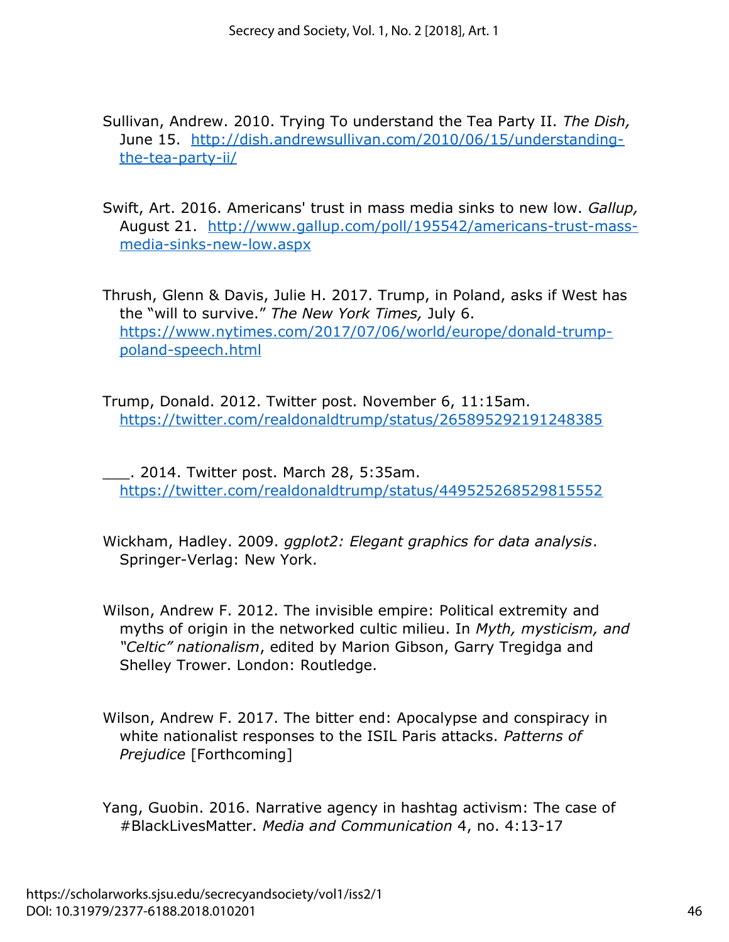Sullivan, Andrew. 2010. Trying To understand the Tea Party II. *The Dish,* June 15. [http://dish.andrewsullivan.com/2010/06/15/understanding](http://dish.andrewsullivan.com/2010/06/15/understanding-the-tea-party-ii/)[the-tea-party-ii/](http://dish.andrewsullivan.com/2010/06/15/understanding-the-tea-party-ii/)

Swift, Art. 2016. Americans' trust in mass media sinks to new low. *Gallup,* August 21. [http://www.gallup.com/poll/195542/americans-trust-mass](http://www.gallup.com/poll/195542/americans-trust-mass-media-sinks-new-low.aspx)[media-sinks-new-low.aspx](http://www.gallup.com/poll/195542/americans-trust-mass-media-sinks-new-low.aspx)

Thrush, Glenn & Davis, Julie H. 2017. Trump, in Poland, asks if West has the "will to survive." *The New York Times,* July 6. [https://www.nytimes.com/2017/07/06/world/europe/donald-trump](https://www.nytimes.com/2017/07/06/world/europe/donald-trump-poland-speech.html)[poland-speech.html](https://www.nytimes.com/2017/07/06/world/europe/donald-trump-poland-speech.html)

Trump, Donald. 2012. Twitter post. November 6, 11:15am. <https://twitter.com/realdonaldtrump/status/265895292191248385>

\_\_\_. 2014. Twitter post. March 28, 5:35am. <https://twitter.com/realdonaldtrump/status/449525268529815552>

Wickham, Hadley. 2009. *ggplot2: Elegant graphics for data analysis*. Springer-Verlag: New York.

- Wilson, Andrew F. 2012. The invisible empire: Political extremity and myths of origin in the networked cultic milieu. In *Myth, mysticism, and "Celtic" nationalism*, edited by Marion Gibson, Garry Tregidga and Shelley Trower. London: Routledge.
- Wilson, Andrew F. 2017. The bitter end: Apocalypse and conspiracy in white nationalist responses to the ISIL Paris attacks. *Patterns of Prejudice* [Forthcoming]
- Yang, Guobin. 2016. Narrative agency in hashtag activism: The case of #BlackLivesMatter. *Media and Communication* 4, no. 4:13-17